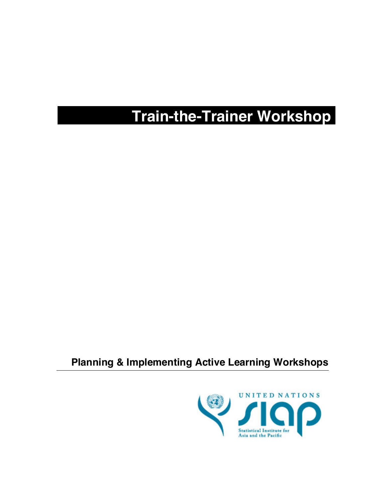# **Train-the-Trainer Workshop**

### **Planning & Implementing Active Learning Workshops**

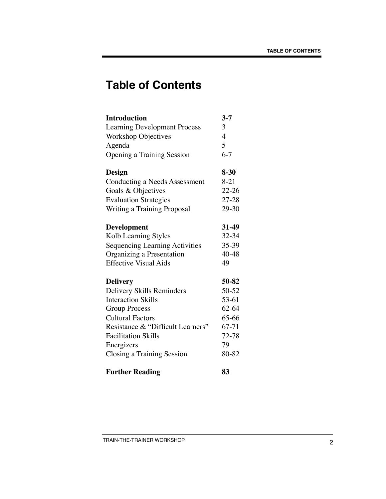## **Table of Contents**

| <b>Introduction</b>                   | $3 - 7$                  |
|---------------------------------------|--------------------------|
| <b>Learning Development Process</b>   | 3                        |
| <b>Workshop Objectives</b>            | $\overline{\mathcal{A}}$ |
| Agenda                                | 5                        |
| <b>Opening a Training Session</b>     | $6 - 7$                  |
| Design                                | $8 - 30$                 |
| Conducting a Needs Assessment         | $8 - 21$                 |
| Goals & Objectives                    | $22 - 26$                |
| <b>Evaluation Strategies</b>          | $27 - 28$                |
| Writing a Training Proposal           | 29-30                    |
| <b>Development</b>                    | 31-49                    |
| Kolb Learning Styles                  | 32-34                    |
| <b>Sequencing Learning Activities</b> | 35-39                    |
| Organizing a Presentation             | 40-48                    |
| <b>Effective Visual Aids</b>          | 49                       |
| <b>Delivery</b>                       | 50-82                    |
| Delivery Skills Reminders             | 50-52                    |
| <b>Interaction Skills</b>             | 53-61                    |
| <b>Group Process</b>                  | 62-64                    |
| <b>Cultural Factors</b>               | 65-66                    |
| Resistance & "Difficult Learners"     | 67-71                    |
| <b>Facilitation Skills</b>            | $72 - 78$                |
| Energizers                            | 79                       |
| Closing a Training Session            | 80-82                    |
| <b>Further Reading</b>                | 83                       |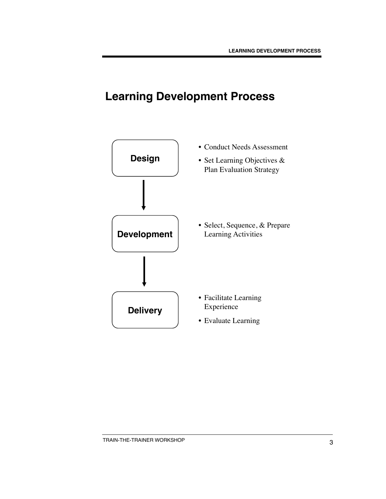## **Learning Development Process**

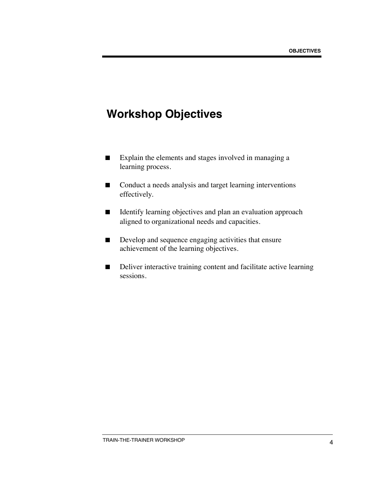## **Workshop Objectives**

- Explain the elements and stages involved in managing a learning process.
- Conduct a needs analysis and target learning interventions effectively.
- Identify learning objectives and plan an evaluation approach aligned to organizational needs and capacities.
- Develop and sequence engaging activities that ensure achievement of the learning objectives.
- Deliver interactive training content and facilitate active learning sessions.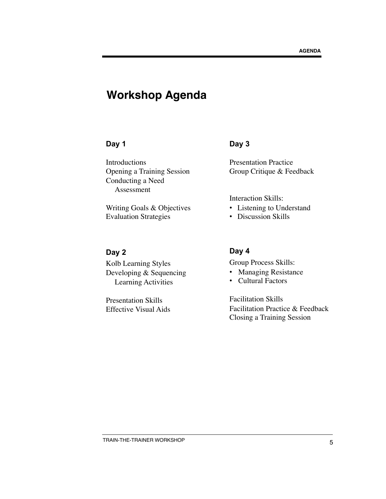### **Workshop Agenda**

#### **Day 1**

Introductions Opening a Training Session Conducting a Need Assessment

Writing Goals & Objectives Evaluation Strategies

#### **Day 2**

Kolb Learning Styles Developing & Sequencing Learning Activities

Presentation Skills Effective Visual Aids

#### **Day 3**

Presentation Practice Group Critique & Feedback

Interaction Skills:

- Listening to Understand
- Discussion Skills

#### **Day 4**

Group Process Skills:

- Managing Resistance
- Cultural Factors

Facilitation Skills Facilitation Practice & Feedback Closing a Training Session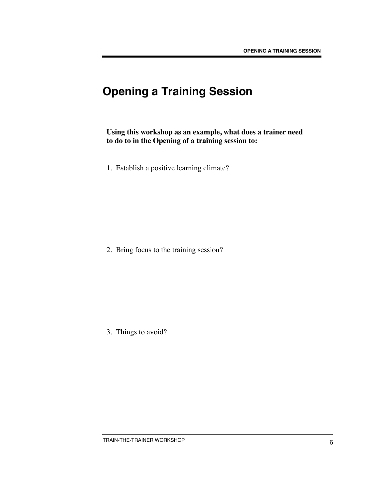## **Opening a Training Session**

**Using this workshop as an example, what does a trainer need to do to in the Opening of a training session to:**

1. Establish a positive learning climate?

2. Bring focus to the training session?

3. Things to avoid?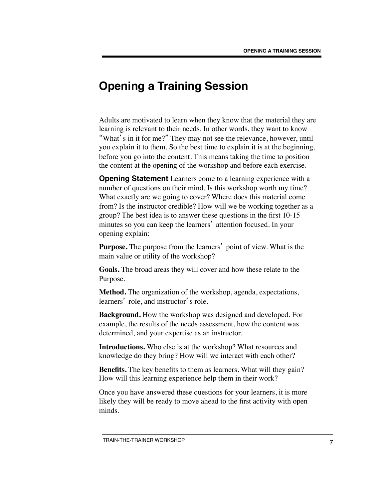### **Opening a Training Session**

Adults are motivated to learn when they know that the material they are learning is relevant to their needs. In other words, they want to know "What's in it for me?" They may not see the relevance, however, until you explain it to them. So the best time to explain it is at the beginning, before you go into the content. This means taking the time to position the content at the opening of the workshop and before each exercise.

**Opening Statement** Learners come to a learning experience with a number of questions on their mind. Is this workshop worth my time? What exactly are we going to cover? Where does this material come from? Is the instructor credible? How will we be working together as a group? The best idea is to answer these questions in the first 10-15 minutes so you can keep the learners' attention focused. In your opening explain:

**Purpose.** The purpose from the learners' point of view. What is the main value or utility of the workshop?

**Goals.** The broad areas they will cover and how these relate to the Purpose.

**Method.** The organization of the workshop, agenda, expectations, learners' role, and instructor's role.

**Background.** How the workshop was designed and developed. For example, the results of the needs assessment, how the content was determined, and your expertise as an instructor.

**Introductions.** Who else is at the workshop? What resources and knowledge do they bring? How will we interact with each other?

**Benefits.** The key benefits to them as learners. What will they gain? How will this learning experience help them in their work?

Once you have answered these questions for your learners, it is more likely they will be ready to move ahead to the first activity with open minds.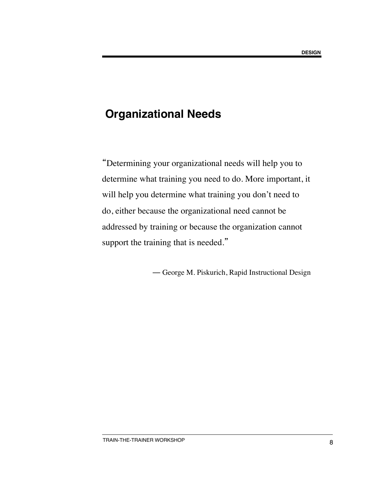### **Organizational Needs**

"Determining your organizational needs will help you to determine what training you need to do. More important, it will help you determine what training you don't need to do, either because the organizational need cannot be addressed by training or because the organization cannot support the training that is needed."

— George M. Piskurich, Rapid Instructional Design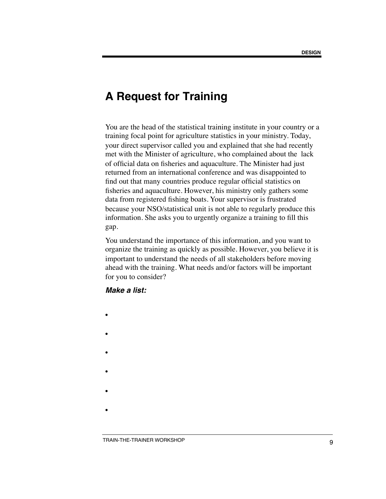### **A Request for Training**

You are the head of the statistical training institute in your country or a training focal point for agriculture statistics in your ministry. Today, your direct supervisor called you and explained that she had recently met with the Minister of agriculture, who complained about the lack of official data on fisheries and aquaculture. The Minister had just returned from an international conference and was disappointed to find out that many countries produce regular official statistics on fisheries and aquaculture. However, his ministry only gathers some data from registered fishing boats. Your supervisor is frustrated because your NSO/statistical unit is not able to regularly produce this information. She asks you to urgently organize a training to fill this gap.

You understand the importance of this information, and you want to organize the training as quickly as possible. However, you believe it is important to understand the needs of all stakeholders before moving ahead with the training. What needs and/or factors will be important for you to consider?

#### *Make a list:*

- •
- •
- 
- •
- 
- •
- •
- •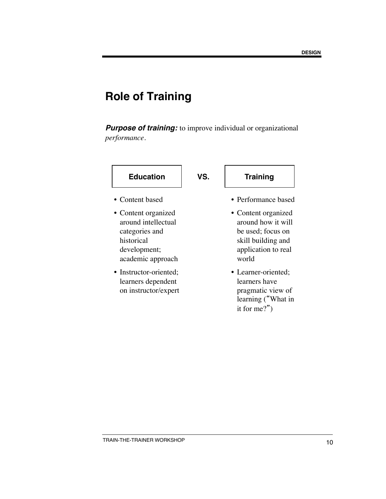**Purpose of training:** to improve individual or organizational *performance*.

| <b>Education</b>                                                                                                | VS. | <b>Training</b>                                                                                                      |
|-----------------------------------------------------------------------------------------------------------------|-----|----------------------------------------------------------------------------------------------------------------------|
| $\bullet$ Content based                                                                                         |     | • Performance based                                                                                                  |
| • Content organized<br>around intellectual<br>categories and<br>historical<br>development;<br>academic approach |     | • Content organized<br>around how it will<br>be used; focus on<br>skill building and<br>application to real<br>world |
| • Instructor-oriented;<br>learners dependent<br>on instructor/expert                                            |     | • Learner-oriented;<br>learners have<br>pragmatic view of<br>learning ("What in<br>it for me?")                      |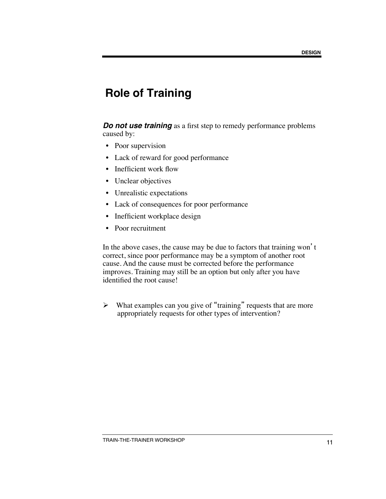*Do not use training* as a first step to remedy performance problems caused by:

- Poor supervision
- Lack of reward for good performance
- Inefficient work flow
- Unclear objectives
- Unrealistic expectations
- Lack of consequences for poor performance
- Inefficient workplace design
- Poor recruitment

In the above cases, the cause may be due to factors that training won't correct, since poor performance may be a symptom of another root cause. And the cause must be corrected before the performance improves. Training may still be an option but only after you have identified the root cause!

 $\triangleright$  What examples can you give of "training" requests that are more appropriately requests for other types of intervention?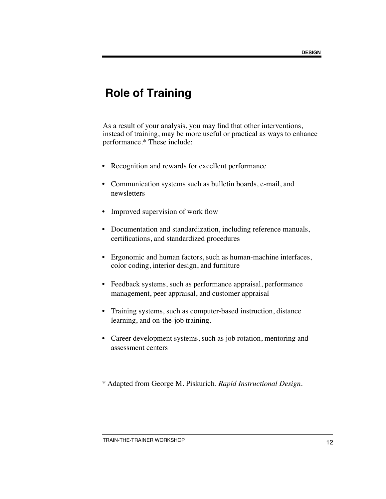As a result of your analysis, you may find that other interventions, instead of training, may be more useful or practical as ways to enhance performance.\* These include:

- Recognition and rewards for excellent performance
- Communication systems such as bulletin boards, e-mail, and newsletters
- Improved supervision of work flow
- Documentation and standardization, including reference manuals, certifications, and standardized procedures
- Ergonomic and human factors, such as human-machine interfaces, color coding, interior design, and furniture
- Feedback systems, such as performance appraisal, performance management, peer appraisal, and customer appraisal
- Training systems, such as computer-based instruction, distance learning, and on-the-job training.
- Career development systems, such as job rotation, mentoring and assessment centers
- \* Adapted from George M. Piskurich. *Rapid Instructional Design.*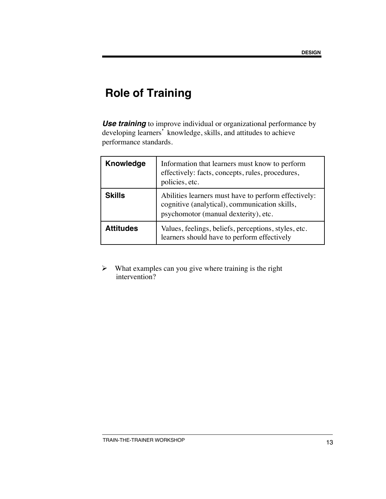**Use training** to improve individual or organizational performance by developing learners' knowledge, skills, and attitudes to achieve performance standards.

| <b>Knowledge</b> | Information that learners must know to perform<br>effectively: facts, concepts, rules, procedures,<br>policies, etc.                          |
|------------------|-----------------------------------------------------------------------------------------------------------------------------------------------|
| <b>Skills</b>    | Abilities learners must have to perform effectively:<br>cognitive (analytical), communication skills,<br>psychomotor (manual dexterity), etc. |
| <b>Attitudes</b> | Values, feelings, beliefs, perceptions, styles, etc.<br>learners should have to perform effectively                                           |

 $\triangleright$  What examples can you give where training is the right intervention?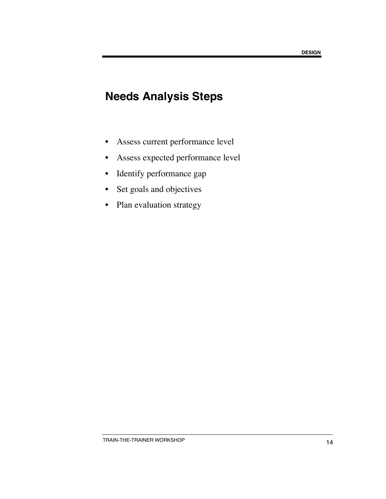## **Needs Analysis Steps**

- Assess current performance level
- Assess expected performance level
- Identify performance gap
- Set goals and objectives
- Plan evaluation strategy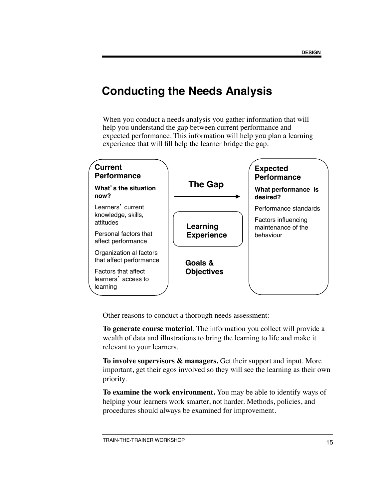### **Conducting the Needs Analysis**

When you conduct a needs analysis you gather information that will help you understand the gap between current performance and expected performance. This information will help you plan a learning experience that will fill help the learner bridge the gap.



Other reasons to conduct a thorough needs assessment:

**To generate course material**. The information you collect will provide a wealth of data and illustrations to bring the learning to life and make it relevant to your learners.

**To involve supervisors & managers.** Get their support and input. More important, get their egos involved so they will see the learning as their own priority.

**To examine the work environment.** You may be able to identify ways of helping your learners work smarter, not harder. Methods, policies, and procedures should always be examined for improvement.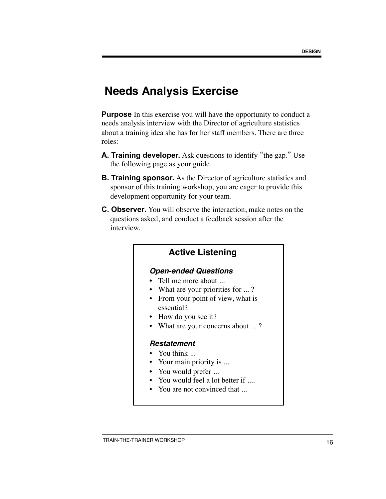### **Needs Analysis Exercise**

**Purpose** In this exercise you will have the opportunity to conduct a needs analysis interview with the Director of agriculture statistics about a training idea she has for her staff members. There are three roles:

- **A. Training developer.** Ask questions to identify "the gap." Use the following page as your guide.
- **B. Training sponsor.** As the Director of agriculture statistics and sponsor of this training workshop, you are eager to provide this development opportunity for your team.
- **C. Observer.** You will observe the interaction, make notes on the questions asked, and conduct a feedback session after the interview.

#### **Active Listening**

#### *Open-ended Questions*

- Tell me more about ...
- What are your priorities for ...?
- From your point of view, what is essential?
- How do you see it?
- What are your concerns about ...?

#### *Restatement*

- You think ...
- Your main priority is ...
- You would prefer ...
- You would feel a lot better if ....
- You are not convinced that ...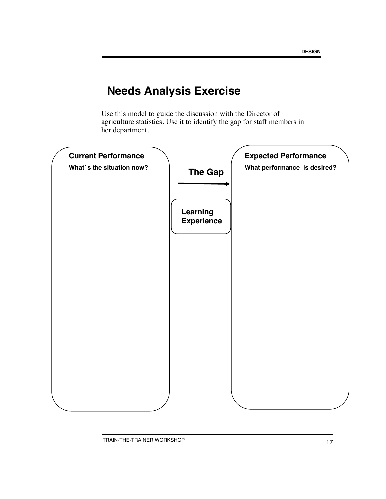## **Needs Analysis Exercise**

Use this model to guide the discussion with the Director of agriculture statistics. Use it to identify the gap for staff members in her department.

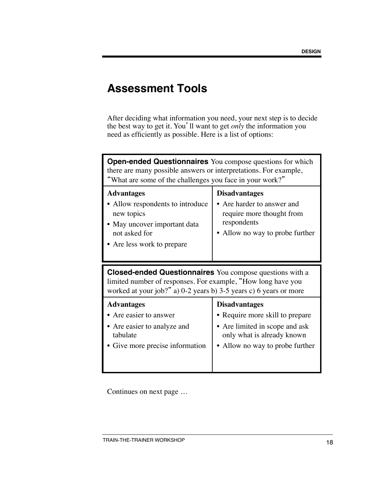### **Assessment Tools**

After deciding what information you need, your next step is to decide the best way to get it. You'll want to get *only* the information you need as efficiently as possible. Here is a list of options:

| <b>Open-ended Questionnaires</b> You compose questions for which<br>there are many possible answers or interpretations. For example,<br>"What are some of the challenges you face in your work?"     |                                                                                                                                   |  |  |
|------------------------------------------------------------------------------------------------------------------------------------------------------------------------------------------------------|-----------------------------------------------------------------------------------------------------------------------------------|--|--|
| <b>Advantages</b><br>• Allow respondents to introduce<br>new topics<br>• May uncover important data<br>not asked for<br>• Are less work to prepare                                                   | <b>Disadvantages</b><br>• Are harder to answer and<br>require more thought from<br>respondents<br>• Allow no way to probe further |  |  |
|                                                                                                                                                                                                      |                                                                                                                                   |  |  |
| <b>Closed-ended Questionnaires</b> You compose questions with a<br>limited number of responses. For example, "How long have you<br>worked at your job?" a) 0-2 years b) 3-5 years c) 6 years or more |                                                                                                                                   |  |  |

Continues on next page …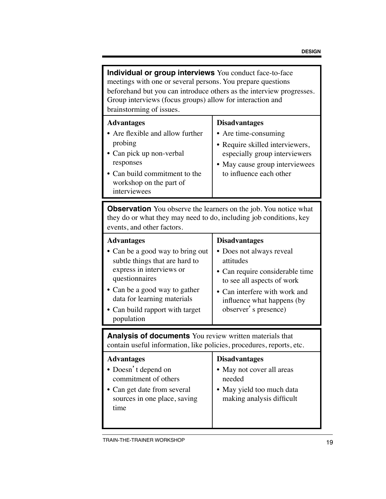| Individual or group interviews You conduct face-to-face<br>meetings with one or several persons. You prepare questions<br>beforehand but you can introduce others as the interview progresses.<br>Group interviews (focus groups) allow for interaction and<br>brainstorming of issues.                                                                                                                                                                                          |                                                                                                                       |  |
|----------------------------------------------------------------------------------------------------------------------------------------------------------------------------------------------------------------------------------------------------------------------------------------------------------------------------------------------------------------------------------------------------------------------------------------------------------------------------------|-----------------------------------------------------------------------------------------------------------------------|--|
| <b>Advantages</b><br><b>Disadvantages</b><br>• Are flexible and allow further<br>• Are time-consuming<br>probing<br>• Require skilled interviewers,<br>• Can pick up non-verbal<br>especially group interviewers<br>responses<br>• May cause group interviewees<br>• Can build commitment to the<br>to influence each other<br>workshop on the part of<br>interviewees                                                                                                           |                                                                                                                       |  |
| <b>Observation</b> You observe the learners on the job. You notice what<br>they do or what they may need to do, including job conditions, key<br>events, and other factors.                                                                                                                                                                                                                                                                                                      |                                                                                                                       |  |
| <b>Advantages</b><br><b>Disadvantages</b><br>• Can be a good way to bring out<br>• Does not always reveal<br>attitudes<br>subtle things that are hard to<br>express in interviews or<br>· Can require considerable time<br>questionnaires<br>to see all aspects of work<br>• Can be a good way to gather<br>• Can interfere with work and<br>data for learning materials<br>influence what happens (by<br>observer' s presence)<br>• Can build rapport with target<br>population |                                                                                                                       |  |
| <b>Analysis of documents</b> You review written materials that<br>contain useful information, like policies, procedures, reports, etc.                                                                                                                                                                                                                                                                                                                                           |                                                                                                                       |  |
| <b>Advantages</b><br>• Doesn't depend on<br>commitment of others<br>• Can get date from several<br>sources in one place, saving<br>time                                                                                                                                                                                                                                                                                                                                          | <b>Disadvantages</b><br>• May not cover all areas<br>needed<br>• May yield too much data<br>making analysis difficult |  |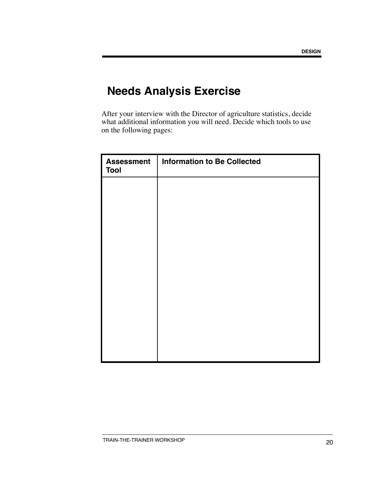## **Needs Analysis Exercise**

After your interview with the Director of agriculture statistics, decide what additional information you will need. Decide which tools to use on the following pages:

| <b>Assessment</b><br><b>Tool</b> | <b>Information to Be Collected</b> |
|----------------------------------|------------------------------------|
|                                  |                                    |
|                                  |                                    |
|                                  |                                    |
|                                  |                                    |
|                                  |                                    |
|                                  |                                    |
|                                  |                                    |
|                                  |                                    |
|                                  |                                    |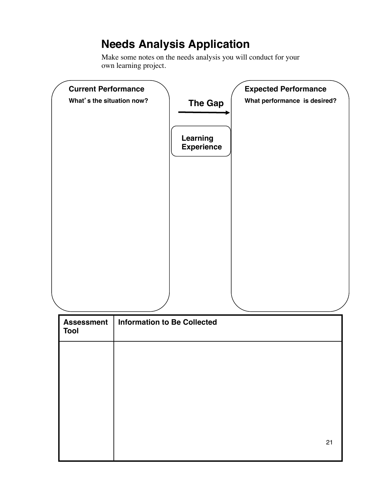## **Needs Analysis Application**

Make some notes on the needs analysis you will conduct for your own learning project.



| Assessment  <br><b>Tool</b> | <b>Information to Be Collected</b> |
|-----------------------------|------------------------------------|
|                             |                                    |
|                             |                                    |
|                             |                                    |
|                             |                                    |
|                             | 21                                 |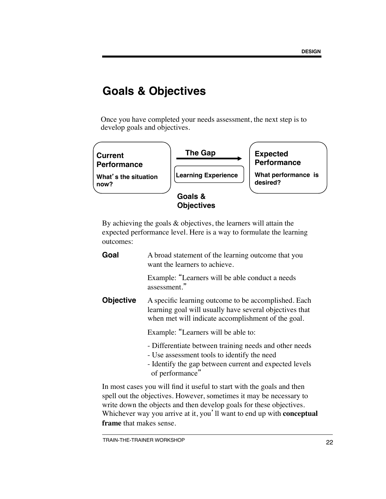### **Goals & Objectives**

Once you have completed your needs assessment, the next step is to develop goals and objectives.



By achieving the goals & objectives, the learners will attain the expected performance level. Here is a way to formulate the learning outcomes:

| Goal      | A broad statement of the learning outcome that you<br>want the learners to achieve.                                                                                                |
|-----------|------------------------------------------------------------------------------------------------------------------------------------------------------------------------------------|
|           | Example: "Learners will be able conduct a needs<br>assessment."                                                                                                                    |
| Objective | A specific learning outcome to be accomplished. Each<br>learning goal will usually have several objectives that<br>when met will indicate accomplishment of the goal.              |
|           | Example: "Learners will be able to:                                                                                                                                                |
|           | - Differentiate between training needs and other needs<br>- Use assessment tools to identify the need<br>- Identify the gap between current and expected levels<br>of performance" |
|           | In most cases you will find it useful to start with the goals and then                                                                                                             |

spell out the objectives. However, sometimes it may be necessary to write down the objects and then develop goals for these objectives. Whichever way you arrive at it, you'll want to end up with **conceptual frame** that makes sense.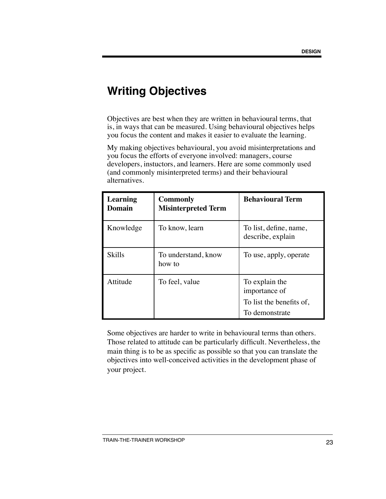Objectives are best when they are written in behavioural terms, that is, in ways that can be measured. Using behavioural objectives helps you focus the content and makes it easier to evaluate the learning.

My making objectives behavioural, you avoid misinterpretations and you focus the efforts of everyone involved: managers, course developers, instuctors, and learners. Here are some commonly used (and commonly misinterpreted terms) and their behavioural alternatives.

| Learning<br>Domain | <b>Commonly</b><br><b>Misinterpreted Term</b> | <b>Behavioural Term</b>                                     |
|--------------------|-----------------------------------------------|-------------------------------------------------------------|
| Knowledge          | To know, learn                                | To list, define, name,<br>describe, explain                 |
| <b>Skills</b>      | To understand, know<br>how to                 | To use, apply, operate                                      |
| Attitude           | To feel, value                                | To explain the<br>importance of<br>To list the benefits of, |
|                    |                                               | To demonstrate                                              |

Some objectives are harder to write in behavioural terms than others. Those related to attitude can be particularly difficult. Nevertheless, the main thing is to be as specific as possible so that you can translate the objectives into well-conceived activities in the development phase of your project.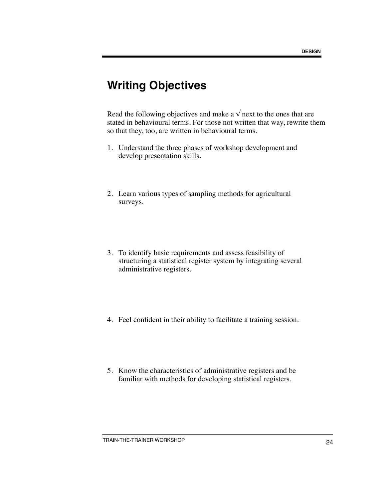Read the following objectives and make a  $\sqrt{ }$  next to the ones that are stated in behavioural terms. For those not written that way, rewrite them so that they, too, are written in behavioural terms.

- 1. Understand the three phases of workshop development and develop presentation skills.
- 2. Learn various types of sampling methods for agricultural surveys.
- 3. To identify basic requirements and assess feasibility of structuring a statistical register system by integrating several administrative registers.
- 4. Feel confident in their ability to facilitate a training session.
- 5. Know the characteristics of administrative registers and be familiar with methods for developing statistical registers.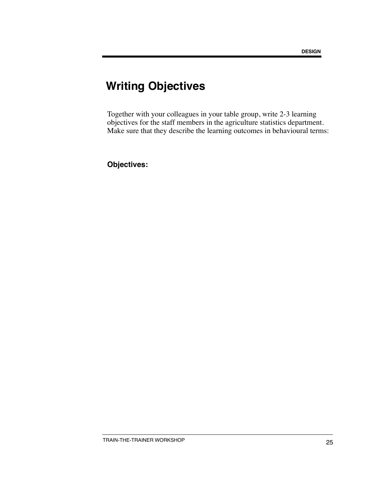Together with your colleagues in your table group, write 2-3 learning objectives for the staff members in the agriculture statistics department. Make sure that they describe the learning outcomes in behavioural terms:

**Objectives:**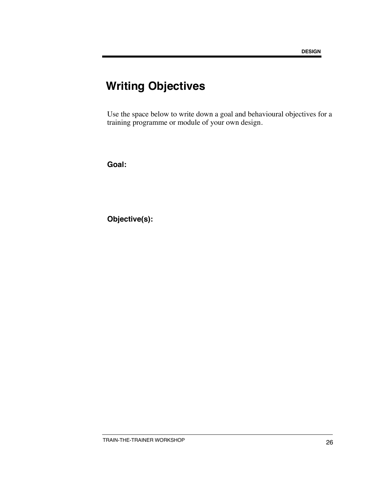Use the space below to write down a goal and behavioural objectives for a training programme or module of your own design.

**Goal:**

**Objective(s):**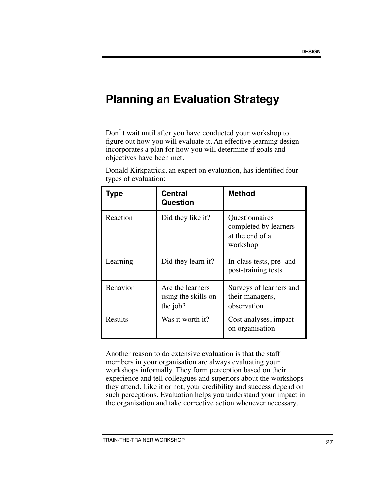## **Planning an Evaluation Strategy**

Don't wait until after you have conducted your workshop to figure out how you will evaluate it. An effective learning design incorporates a plan for how you will determine if goals and objectives have been met.

| Type            | <b>Central</b><br>Question                          | <b>Method</b>                                                          |
|-----------------|-----------------------------------------------------|------------------------------------------------------------------------|
| Reaction        | Did they like it?                                   | Questionnaires<br>completed by learners<br>at the end of a<br>workshop |
| Learning        | Did they learn it?                                  | In-class tests, pre- and<br>post-training tests                        |
| <b>Behavior</b> | Are the learners<br>using the skills on<br>the job? | Surveys of learners and<br>their managers,<br>observation              |
| Results         | Was it worth it?                                    | Cost analyses, impact<br>on organisation                               |

Donald Kirkpatrick, an expert on evaluation, has identified four types of evaluation:

Another reason to do extensive evaluation is that the staff members in your organisation are always evaluating your workshops informally. They form perception based on their experience and tell colleagues and superiors about the workshops they attend. Like it or not, your credibility and success depend on such perceptions. Evaluation helps you understand your impact in the organisation and take corrective action whenever necessary.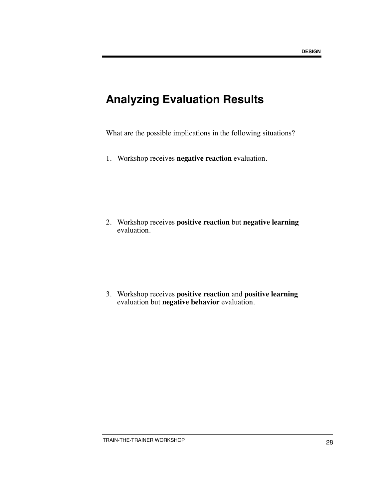### **Analyzing Evaluation Results**

What are the possible implications in the following situations?

1. Workshop receives **negative reaction** evaluation.

2. Workshop receives **positive reaction** but **negative learning** evaluation.

3. Workshop receives **positive reaction** and **positive learning** evaluation but **negative behavior** evaluation.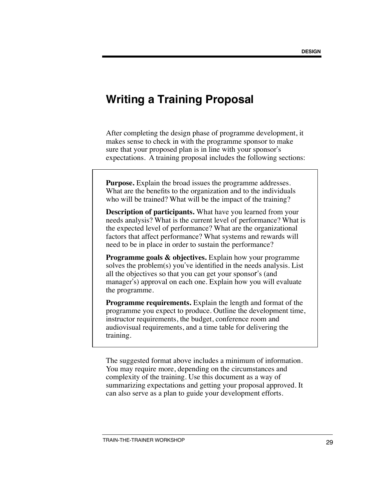### **Writing a Training Proposal**

After completing the design phase of programme development, it makes sense to check in with the programme sponsor to make sure that your proposed plan is in line with your sponsor's expectations. A training proposal includes the following sections:

**Purpose.** Explain the broad issues the programme addresses. What are the benefits to the organization and to the individuals who will be trained? What will be the impact of the training?

**Description of participants.** What have you learned from your needs analysis? What is the current level of performance? What is the expected level of performance? What are the organizational factors that affect performance? What systems and rewards will need to be in place in order to sustain the performance?

**Programme goals & objectives.** Explain how your programme solves the problem(s) you've identified in the needs analysis. List all the objectives so that you can get your sponsor's (and manager's) approval on each one. Explain how you will evaluate the programme.

**Programme requirements.** Explain the length and format of the programme you expect to produce. Outline the development time, instructor requirements, the budget, conference room and audiovisual requirements, and a time table for delivering the training.

The suggested format above includes a minimum of information. You may require more, depending on the circumstances and complexity of the training. Use this document as a way of summarizing expectations and getting your proposal approved. It can also serve as a plan to guide your development efforts.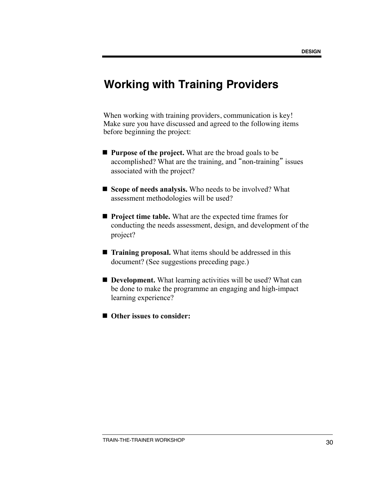## **Working with Training Providers**

When working with training providers, communication is key! Make sure you have discussed and agreed to the following items before beginning the project:

- **n Purpose of the project.** What are the broad goals to be accomplished? What are the training, and "non-training" issues associated with the project?
- **Scope of needs analysis.** Who needs to be involved? What assessment methodologies will be used?
- **n Project time table.** What are the expected time frames for conducting the needs assessment, design, and development of the project?
- **Training proposal.** What items should be addressed in this document? (See suggestions preceding page.)
- **Development.** What learning activities will be used? What can be done to make the programme an engaging and high-impact learning experience?
- Other issues to consider: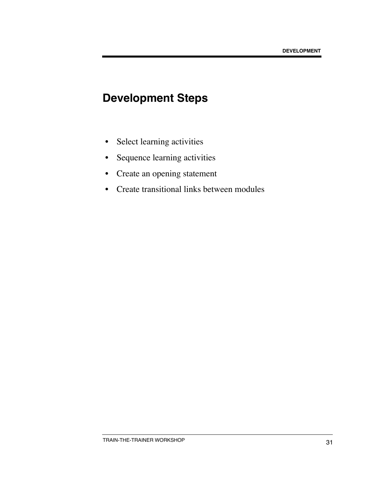## **Development Steps**

- Select learning activities
- Sequence learning activities
- Create an opening statement
- Create transitional links between modules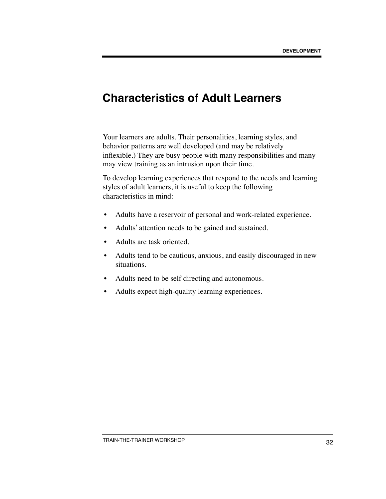### **Characteristics of Adult Learners**

Your learners are adults. Their personalities, learning styles, and behavior patterns are well developed (and may be relatively inflexible.) They are busy people with many responsibilities and many may view training as an intrusion upon their time.

To develop learning experiences that respond to the needs and learning styles of adult learners, it is useful to keep the following characteristics in mind:

- Adults have a reservoir of personal and work-related experience.
- Adults' attention needs to be gained and sustained.
- Adults are task oriented.
- Adults tend to be cautious, anxious, and easily discouraged in new situations.
- Adults need to be self directing and autonomous.
- Adults expect high-quality learning experiences.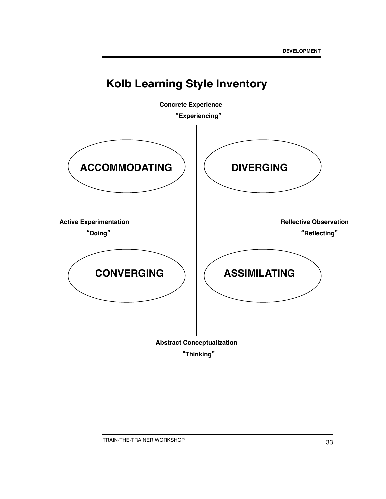

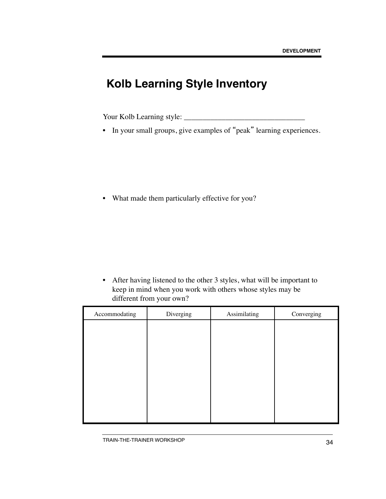## **Kolb Learning Style Inventory**

Your Kolb Learning style: \_\_\_\_\_\_\_\_\_\_\_\_\_\_\_\_\_\_\_\_\_\_\_\_\_\_\_\_\_\_\_\_

• In your small groups, give examples of "peak" learning experiences.

• What made them particularly effective for you?

• After having listened to the other 3 styles, what will be important to keep in mind when you work with others whose styles may be different from your own?

| Accommodating | Diverging | Assimilating | Converging |
|---------------|-----------|--------------|------------|
|               |           |              |            |
|               |           |              |            |
|               |           |              |            |
|               |           |              |            |
|               |           |              |            |
|               |           |              |            |
|               |           |              |            |
|               |           |              |            |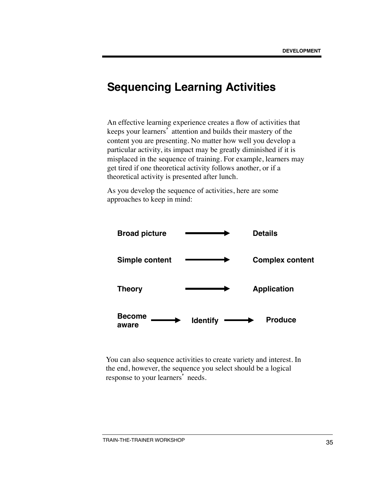### **Sequencing Learning Activities**

An effective learning experience creates a flow of activities that keeps your learners' attention and builds their mastery of the content you are presenting. No matter how well you develop a particular activity, its impact may be greatly diminished if it is misplaced in the sequence of training. For example, learners may get tired if one theoretical activity follows another, or if a theoretical activity is presented after lunch.

As you develop the sequence of activities, here are some approaches to keep in mind:



You can also sequence activities to create variety and interest. In the end, however, the sequence you select should be a logical response to your learners' needs.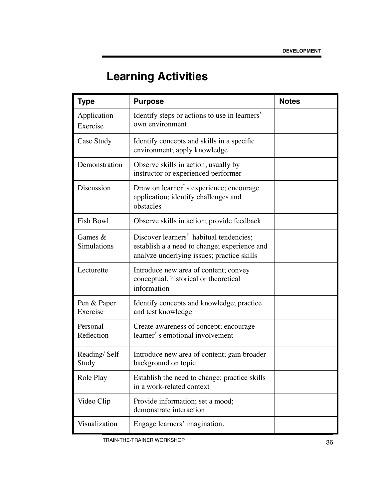# **Learning Activities**

| <b>Type</b>              | <b>Purpose</b>                                                                                                                        | <b>Notes</b> |
|--------------------------|---------------------------------------------------------------------------------------------------------------------------------------|--------------|
| Application<br>Exercise  | Identify steps or actions to use in learners'<br>own environment.                                                                     |              |
| Case Study               | Identify concepts and skills in a specific<br>environment; apply knowledge                                                            |              |
| Demonstration            | Observe skills in action, usually by<br>instructor or experienced performer                                                           |              |
| Discussion               | Draw on learner's experience; encourage<br>application; identify challenges and<br>obstacles                                          |              |
| <b>Fish Bowl</b>         | Observe skills in action; provide feedback                                                                                            |              |
| Games $&$<br>Simulations | Discover learners' habitual tendencies;<br>establish a a need to change; experience and<br>analyze underlying issues; practice skills |              |
| Lecturette               | Introduce new area of content; convey<br>conceptual, historical or theoretical<br>information                                         |              |
| Pen & Paper<br>Exercise  | Identify concepts and knowledge; practice<br>and test knowledge                                                                       |              |
| Personal<br>Reflection   | Create awareness of concept; encourage<br>learner's emotional involvement                                                             |              |
| Reading/Self<br>Study    | Introduce new area of content; gain broader<br>background on topic                                                                    |              |
| Role Play                | Establish the need to change; practice skills<br>in a work-related context                                                            |              |
| Video Clip               | Provide information; set a mood;<br>demonstrate interaction                                                                           |              |
| Visualization            | Engage learners' imagination.                                                                                                         |              |

TRAIN-THE-TRAINER WORKSHOP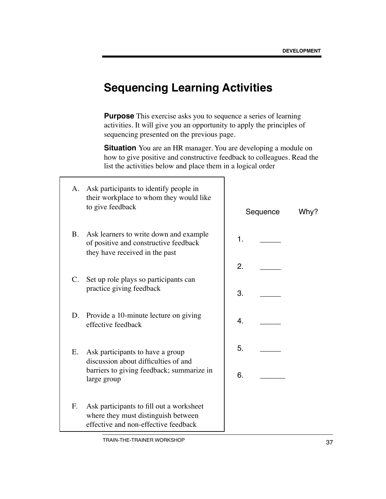### **Sequencing Learning Activities**

**Purpose** This exercise asks you to sequence a series of learning activities. It will give you an opportunity to apply the principles of sequencing presented on the previous page.

**Situation** You are an HR manager. You are developing a module on how to give positive and constructive feedback to colleagues. Read the list the activities below and place them in a logical order

| А.             | Ask participants to identify people in<br>their workplace to whom they would like<br>to give feedback                   |    | Sequence | Why? |
|----------------|-------------------------------------------------------------------------------------------------------------------------|----|----------|------|
| <b>B.</b>      | Ask learners to write down and example<br>of positive and constructive feedback<br>they have received in the past       | 1. |          |      |
|                |                                                                                                                         | 2. |          |      |
| $\mathbf{C}$ . | Set up role plays so participants can<br>practice giving feedback                                                       | 3. |          |      |
| D.             | Provide a 10-minute lecture on giving<br>effective feedback                                                             | 4. |          |      |
| Ε.             | Ask participants to have a group<br>discussion about difficulties of and                                                | 5. |          |      |
|                | barriers to giving feedback; summarize in<br>large group                                                                | 6. |          |      |
| F.             | Ask participants to fill out a worksheet<br>where they must distinguish between<br>effective and non-effective feedback |    |          |      |

TRAIN-THE-TRAINER WORKSHOP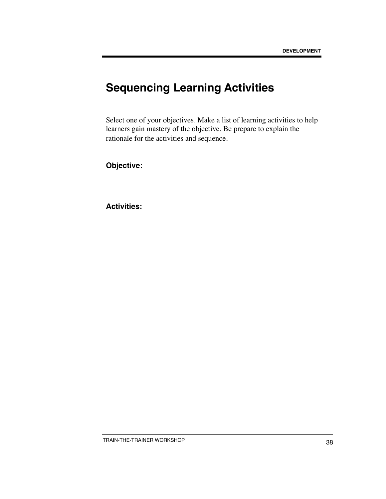## **Sequencing Learning Activities**

Select one of your objectives. Make a list of learning activities to help learners gain mastery of the objective. Be prepare to explain the rationale for the activities and sequence.

**Objective:**

**Activities:**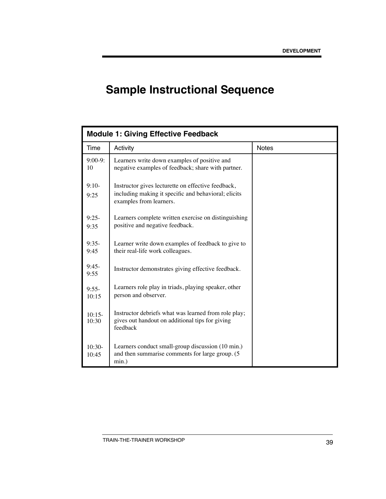# **Sample Instructional Sequence**

| <b>Module 1: Giving Effective Feedback</b> |                                                                                                                                       |              |  |
|--------------------------------------------|---------------------------------------------------------------------------------------------------------------------------------------|--------------|--|
| Time                                       | Activity                                                                                                                              | <b>Notes</b> |  |
| $9:00-9:$<br>10                            | Learners write down examples of positive and<br>negative examples of feedback; share with partner.                                    |              |  |
| $9:10-$<br>9:25                            | Instructor gives lecturette on effective feedback,<br>including making it specific and behavioral; elicits<br>examples from learners. |              |  |
| $9:25-$<br>9:35                            | Learners complete written exercise on distinguishing<br>positive and negative feedback.                                               |              |  |
| $9:35-$<br>9:45                            | Learner write down examples of feedback to give to<br>their real-life work colleagues.                                                |              |  |
| $9:45-$<br>9:55                            | Instructor demonstrates giving effective feedback.                                                                                    |              |  |
| $9:55-$<br>10:15                           | Learners role play in triads, playing speaker, other<br>person and observer.                                                          |              |  |
| $10:15-$<br>10:30                          | Instructor debriefs what was learned from role play;<br>gives out handout on additional tips for giving<br>feedback                   |              |  |
| $10:30-$<br>10:45                          | Learners conduct small-group discussion (10 min.)<br>and then summarise comments for large group. (5<br>$min.$ )                      |              |  |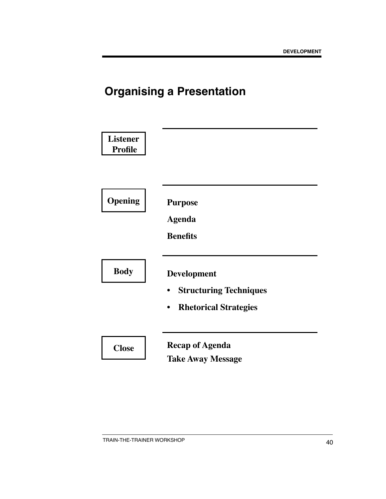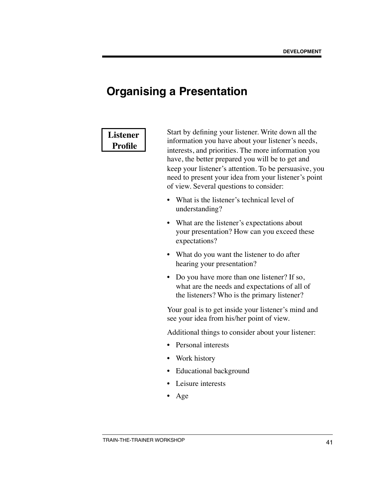### **Listener Profile**

Start by defining your listener. Write down all the information you have about your listener's needs, interests, and priorities. The more information you have, the better prepared you will be to get and keep your listener's attention. To be persuasive, you need to present your idea from your listener's point of view. Several questions to consider:

- What is the listener's technical level of understanding?
- What are the listener's expectations about your presentation? How can you exceed these expectations?
- What do you want the listener to do after hearing your presentation?
- Do you have more than one listener? If so, what are the needs and expectations of all of the listeners? Who is the primary listener?

Your goal is to get inside your listener's mind and see your idea from his/her point of view.

Additional things to consider about your listener:

- Personal interests
- Work history
- Educational background
- Leisure interests
- Age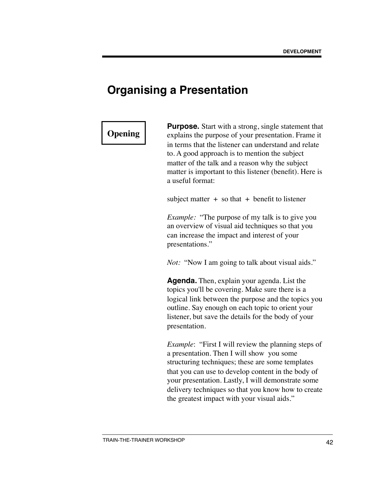### **Opening**

**Purpose.** Start with a strong, single statement that explains the purpose of your presentation. Frame it in terms that the listener can understand and relate to. A good approach is to mention the subject matter of the talk and a reason why the subject matter is important to this listener (benefit). Here is a useful format:

subject matter  $+$  so that  $+$  benefit to listener

*Example:* "The purpose of my talk is to give you an overview of visual aid techniques so that you can increase the impact and interest of your presentations."

*Not:* "Now I am going to talk about visual aids."

**Agenda.** Then, explain your agenda. List the topics you'll be covering. Make sure there is a logical link between the purpose and the topics you outline. Say enough on each topic to orient your listener, but save the details for the body of your presentation.

*Example*: "First I will review the planning steps of a presentation. Then I will show you some structuring techniques; these are some templates that you can use to develop content in the body of your presentation. Lastly, I will demonstrate some delivery techniques so that you know how to create the greatest impact with your visual aids."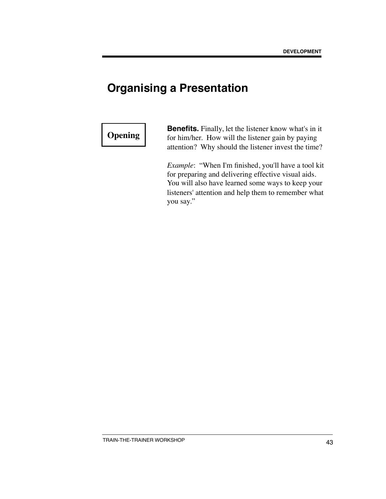### **Opening**

**Benefits.** Finally, let the listener know what's in it for him/her. How will the listener gain by paying attention? Why should the listener invest the time?

*Example*: "When I'm finished, you'll have a tool kit for preparing and delivering effective visual aids. You will also have learned some ways to keep your listeners' attention and help them to remember what you say."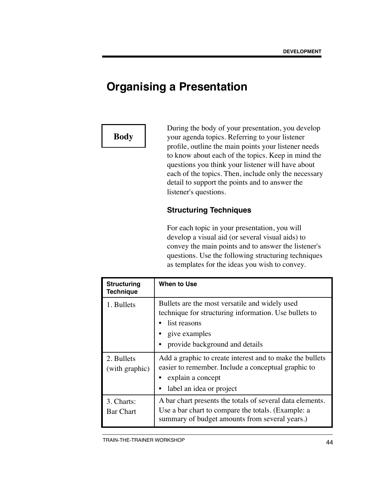### **Body**

During the body of your presentation, you develop your agenda topics. Referring to your listener profile, outline the main points your listener needs to know about each of the topics. Keep in mind the questions you think your listener will have about each of the topics. Then, include only the necessary detail to support the points and to answer the listener's questions.

### **Structuring Techniques**

For each topic in your presentation, you will develop a visual aid (or several visual aids) to convey the main points and to answer the listener's questions. Use the following structuring techniques as templates for the ideas you wish to convey.

| <b>Structuring</b><br><b>Technique</b> | When to Use                                                                                                                                                                |
|----------------------------------------|----------------------------------------------------------------------------------------------------------------------------------------------------------------------------|
| 1. Bullets                             | Bullets are the most versatile and widely used<br>technique for structuring information. Use bullets to<br>list reasons<br>give examples<br>provide background and details |
| 2. Bullets<br>(with graphic)           | Add a graphic to create interest and to make the bullets<br>easier to remember. Include a conceptual graphic to<br>explain a concept<br>label an idea or project<br>٠      |
| 3. Charts:<br><b>Bar Chart</b>         | A bar chart presents the totals of several data elements.<br>Use a bar chart to compare the totals. (Example: a<br>summary of budget amounts from several years.)          |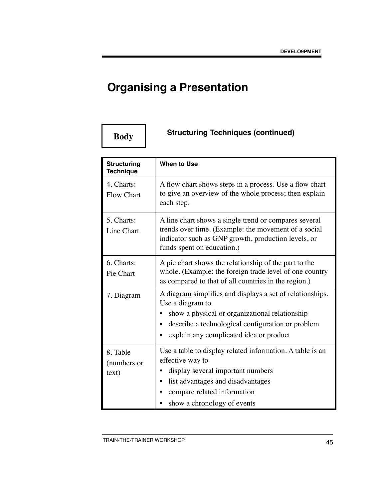# **Structuring Techniques (continued) Body**

| <b>Structuring</b><br><b>Technique</b> | <b>When to Use</b>                                                                                                                                                                                                              |  |
|----------------------------------------|---------------------------------------------------------------------------------------------------------------------------------------------------------------------------------------------------------------------------------|--|
| 4. Charts:<br><b>Flow Chart</b>        | A flow chart shows steps in a process. Use a flow chart<br>to give an overview of the whole process; then explain<br>each step.                                                                                                 |  |
| 5. Charts:<br>Line Chart               | A line chart shows a single trend or compares several<br>trends over time. (Example: the movement of a social<br>indicator such as GNP growth, production levels, or<br>funds spent on education.)                              |  |
| 6. Charts:<br>Pie Chart                | A pie chart shows the relationship of the part to the<br>whole. (Example: the foreign trade level of one country<br>as compared to that of all countries in the region.)                                                        |  |
| 7. Diagram                             | A diagram simplifies and displays a set of relationships.<br>Use a diagram to<br>show a physical or organizational relationship<br>describe a technological configuration or problem<br>explain any complicated idea or product |  |
| 8. Table<br>(numbers or<br>text)       | Use a table to display related information. A table is an<br>effective way to<br>display several important numbers<br>list advantages and disadvantages<br>compare related information<br>show a chronology of events           |  |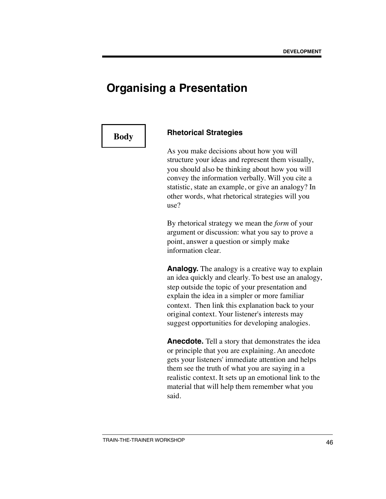### **Body Rhetorical Strategies**

As you make decisions about how you will structure your ideas and represent them visually, you should also be thinking about how you will convey the information verbally. Will you cite a statistic, state an example, or give an analogy? In other words, what rhetorical strategies will you use?

By rhetorical strategy we mean the *form* of your argument or discussion: what you say to prove a point, answer a question or simply make information clear.

**Analogy.** The analogy is a creative way to explain an idea quickly and clearly. To best use an analogy, step outside the topic of your presentation and explain the idea in a simpler or more familiar context. Then link this explanation back to your original context. Your listener's interests may suggest opportunities for developing analogies.

**Anecdote.** Tell a story that demonstrates the idea or principle that you are explaining. An anecdote gets your listeners' immediate attention and helps them see the truth of what you are saying in a realistic context. It sets up an emotional link to the material that will help them remember what you said.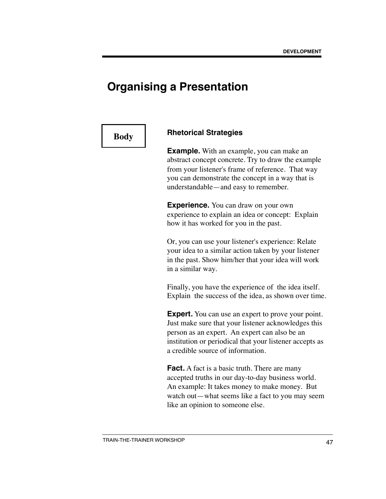### **Body Rhetorical Strategies**

**Example.** With an example, you can make an abstract concept concrete. Try to draw the example from your listener's frame of reference. That way you can demonstrate the concept in a way that is understandable—and easy to remember.

**Experience.** You can draw on your own experience to explain an idea or concept: Explain how it has worked for you in the past.

Or, you can use your listener's experience: Relate your idea to a similar action taken by your listener in the past. Show him/her that your idea will work in a similar way.

Finally, you have the experience of the idea itself. Explain the success of the idea, as shown over time.

**Expert.** You can use an expert to prove your point. Just make sure that your listener acknowledges this person as an expert. An expert can also be an institution or periodical that your listener accepts as a credible source of information.

**Fact.** A fact is a basic truth. There are many accepted truths in our day-to-day business world. An example: It takes money to make money. But watch out—what seems like a fact to you may seem like an opinion to someone else.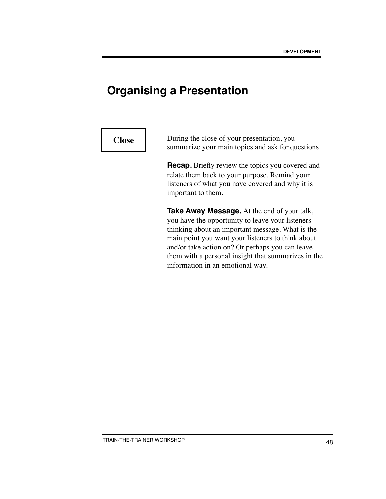**Close** During the close of your presentation, you summarize your main topics and ask for questions.

> **Recap.** Briefly review the topics you covered and relate them back to your purpose. Remind your listeners of what you have covered and why it is important to them.

**Take Away Message.** At the end of your talk, you have the opportunity to leave your listeners thinking about an important message. What is the main point you want your listeners to think about and/or take action on? Or perhaps you can leave them with a personal insight that summarizes in the information in an emotional way.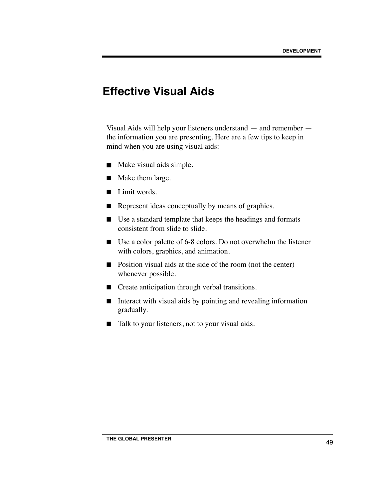### **Effective Visual Aids**

Visual Aids will help your listeners understand — and remember the information you are presenting. Here are a few tips to keep in mind when you are using visual aids:

- Make visual aids simple.
- Make them large.
- Limit words.
- Represent ideas conceptually by means of graphics.
- Use a standard template that keeps the headings and formats consistent from slide to slide.
- Use a color palette of 6-8 colors. Do not overwhelm the listener with colors, graphics, and animation.
- Position visual aids at the side of the room (not the center) whenever possible.
- Create anticipation through verbal transitions.
- Interact with visual aids by pointing and revealing information gradually.
- Talk to your listeners, not to your visual aids.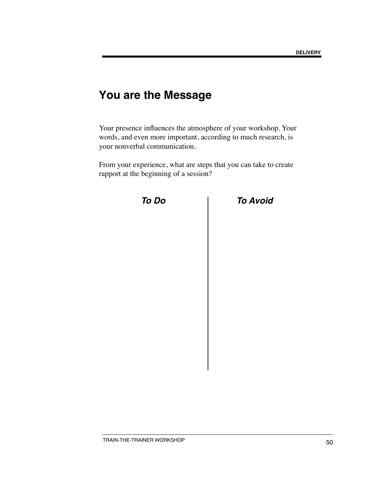### **You are the Message**

Your presence influences the atmosphere of your workshop. Your words, and even more important, according to much research, is your nonverbal communication.

From your experience, what are steps that you can take to create rapport at the beginning of a session?



 *To Do To Avoid*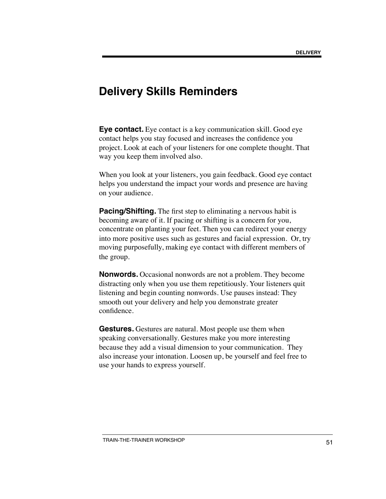### **Delivery Skills Reminders**

**Eye contact.** Eye contact is a key communication skill. Good eye contact helps you stay focused and increases the confidence you project. Look at each of your listeners for one complete thought. That way you keep them involved also.

When you look at your listeners, you gain feedback. Good eye contact helps you understand the impact your words and presence are having on your audience.

**Pacing/Shifting.** The first step to eliminating a nervous habit is becoming aware of it. If pacing or shifting is a concern for you, concentrate on planting your feet. Then you can redirect your energy into more positive uses such as gestures and facial expression. Or, try moving purposefully, making eye contact with different members of the group.

**Nonwords.** Occasional nonwords are not a problem. They become distracting only when you use them repetitiously. Your listeners quit listening and begin counting nonwords. Use pauses instead: They smooth out your delivery and help you demonstrate greater confidence.

**Gestures.** Gestures are natural. Most people use them when speaking conversationally. Gestures make you more interesting because they add a visual dimension to your communication. They also increase your intonation. Loosen up, be yourself and feel free to use your hands to express yourself.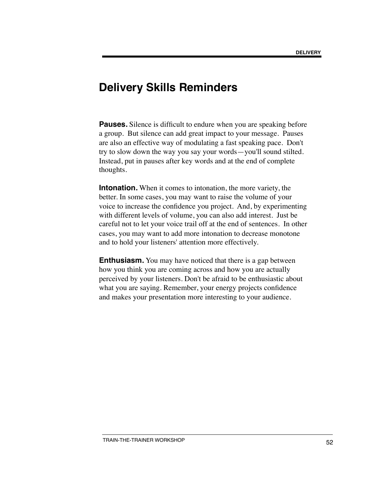### **Delivery Skills Reminders**

**Pauses.** Silence is difficult to endure when you are speaking before a group. But silence can add great impact to your message. Pauses are also an effective way of modulating a fast speaking pace. Don't try to slow down the way you say your words—you'll sound stilted. Instead, put in pauses after key words and at the end of complete thoughts.

**Intonation.** When it comes to intonation, the more variety, the better. In some cases, you may want to raise the volume of your voice to increase the confidence you project. And, by experimenting with different levels of volume, you can also add interest. Just be careful not to let your voice trail off at the end of sentences. In other cases, you may want to add more intonation to decrease monotone and to hold your listeners' attention more effectively.

**Enthusiasm.** You may have noticed that there is a gap between how you think you are coming across and how you are actually perceived by your listeners. Don't be afraid to be enthusiastic about what you are saying. Remember, your energy projects confidence and makes your presentation more interesting to your audience.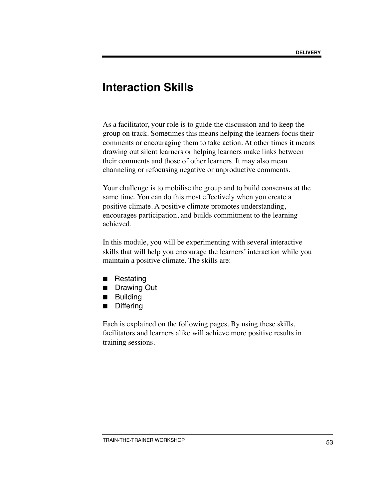### **Interaction Skills**

As a facilitator, your role is to guide the discussion and to keep the group on track. Sometimes this means helping the learners focus their comments or encouraging them to take action. At other times it means drawing out silent learners or helping learners make links between their comments and those of other learners. It may also mean channeling or refocusing negative or unproductive comments.

Your challenge is to mobilise the group and to build consensus at the same time. You can do this most effectively when you create a positive climate. A positive climate promotes understanding, encourages participation, and builds commitment to the learning achieved.

In this module, you will be experimenting with several interactive skills that will help you encourage the learners' interaction while you maintain a positive climate. The skills are:

- Restating
- Drawing Out
- Building
- Differing

Each is explained on the following pages. By using these skills, facilitators and learners alike will achieve more positive results in training sessions.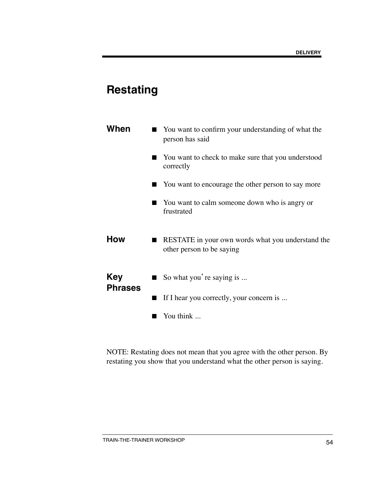# **Restating**

| When                         | You want to confirm your understanding of what the<br>person has said          |
|------------------------------|--------------------------------------------------------------------------------|
|                              | You want to check to make sure that you understood<br>correctly                |
|                              | You want to encourage the other person to say more                             |
|                              | You want to calm someone down who is angry or<br>frustrated                    |
| <b>How</b>                   | RESTATE in your own words what you understand the<br>other person to be saying |
| <b>Key</b><br><b>Phrases</b> | So what you're saying is                                                       |
|                              | If I hear you correctly, your concern is                                       |
|                              | You think                                                                      |

NOTE: Restating does not mean that you agree with the other person. By restating you show that you understand what the other person is saying.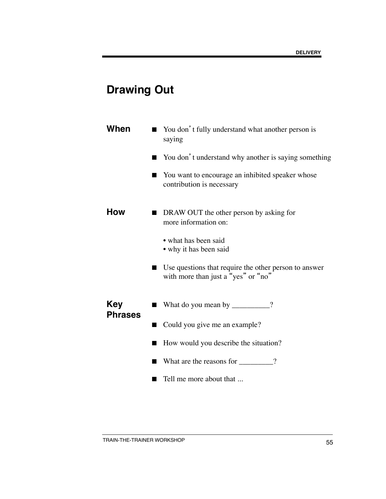# **Drawing Out**

| When                         | You don't fully understand what another person is<br>saying                                  |
|------------------------------|----------------------------------------------------------------------------------------------|
|                              | You don't understand why another is saying something                                         |
|                              | You want to encourage an inhibited speaker whose<br>contribution is necessary                |
| How                          | DRAW OUT the other person by asking for<br>more information on:                              |
|                              | • what has been said<br>• why it has been said                                               |
|                              | Use questions that require the other person to answer<br>with more than just a "yes" or "no" |
| <b>Key</b><br><b>Phrases</b> | What do you mean by _________?                                                               |
|                              | Could you give me an example?                                                                |
|                              | How would you describe the situation?                                                        |
|                              | What are the reasons for ________?                                                           |
|                              | Tell me more about that                                                                      |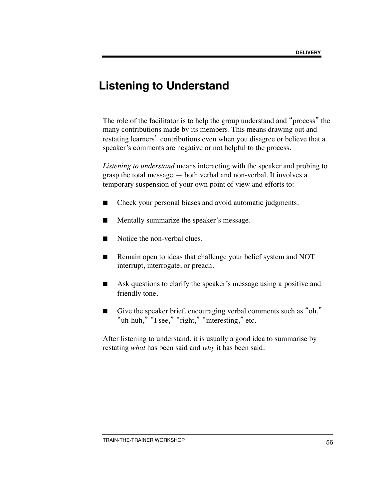### **Listening to Understand**

The role of the facilitator is to help the group understand and "process" the many contributions made by its members. This means drawing out and restating learners' contributions even when you disagree or believe that a speaker's comments are negative or not helpful to the process.

*Listening to understand* means interacting with the speaker and probing to grasp the total message — both verbal and non-verbal. It involves a temporary suspension of your own point of view and efforts to:

- Check your personal biases and avoid automatic judgments.
- Mentally summarize the speaker's message.
- Notice the non-verbal clues.
- Remain open to ideas that challenge your belief system and NOT interrupt, interrogate, or preach.
- Ask questions to clarify the speaker's message using a positive and friendly tone.
- Give the speaker brief, encouraging verbal comments such as "oh," "uh-huh," "I see," "right," "interesting," etc.

After listening to understand, it is usually a good idea to summarise by restating *what* has been said and *why* it has been said.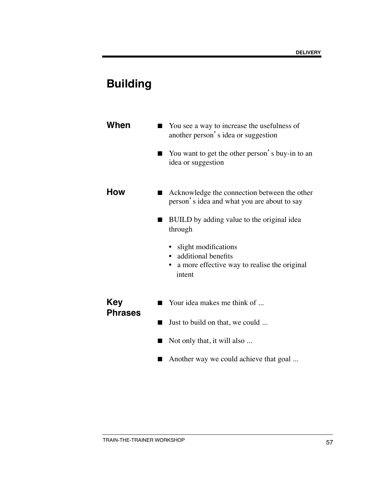# **Building**

| When                         | You see a way to increase the usefulness of<br>another person's idea or suggestion                         |
|------------------------------|------------------------------------------------------------------------------------------------------------|
|                              | You want to get the other person's buy-in to an<br>idea or suggestion                                      |
| How                          | Acknowledge the connection between the other<br>person's idea and what you are about to say                |
|                              | BUILD by adding value to the original idea<br>through                                                      |
|                              | slight modifications<br>additional benefits<br>a more effective way to realise the original<br>٠<br>intent |
| <b>Key</b><br><b>Phrases</b> | Your idea makes me think of                                                                                |
|                              | Just to build on that, we could                                                                            |
|                              | Not only that, it will also                                                                                |
|                              | Another way we could achieve that goal                                                                     |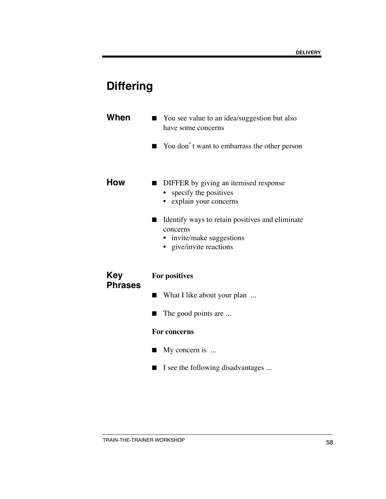# **Differing**

| When                         | ■ You see value to an idea/suggestion but also<br>have some concerns                                                |
|------------------------------|---------------------------------------------------------------------------------------------------------------------|
|                              | You don't want to embarrass the other person                                                                        |
| How                          | DIFFER by giving an itemised response<br>specify the positives<br>explain your concerns                             |
|                              | Identify ways to retain positives and eliminate<br>concerns<br>• invite/make suggestions<br>• give/invite reactions |
| <b>Key</b><br><b>Phrases</b> | For positives                                                                                                       |
|                              | What I like about your plan                                                                                         |
|                              | The good points are                                                                                                 |

#### **For concerns**

- My concern is ...
- I see the following disadvantages ...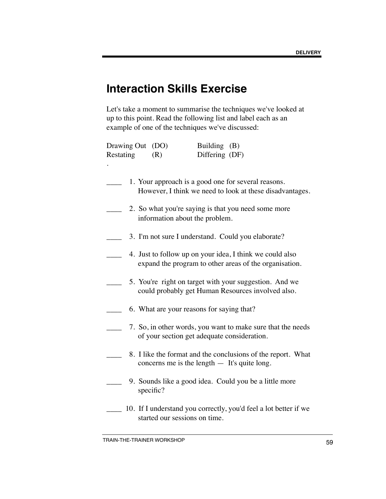## **Interaction Skills Exercise**

Let's take a moment to summarise the techniques we've looked at up to this point. Read the following list and label each as an example of one of the techniques we've discussed:

| Drawing Out<br>Restating | Building (B)<br>(DO)<br>Differing (DF)<br>(R)                                                                      |
|--------------------------|--------------------------------------------------------------------------------------------------------------------|
|                          | 1. Your approach is a good one for several reasons.<br>However, I think we need to look at these disadvantages.    |
|                          | 2. So what you're saying is that you need some more<br>information about the problem.                              |
|                          | 3. I'm not sure I understand. Could you elaborate?                                                                 |
|                          | 4. Just to follow up on your idea, I think we could also<br>expand the program to other areas of the organisation. |
|                          | 5. You're right on target with your suggestion. And we<br>could probably get Human Resources involved also.        |
|                          | 6. What are your reasons for saying that?                                                                          |
|                          | 7. So, in other words, you want to make sure that the needs<br>of your section get adequate consideration.         |
|                          | 8. I like the format and the conclusions of the report. What<br>concerns me is the length $-$ It's quite long.     |
|                          | 9. Sounds like a good idea. Could you be a little more<br>specific?                                                |
|                          | 10. If I understand you correctly, you'd feel a lot better if we<br>started our sessions on time.                  |

TRAIN-THE-TRAINER WORKSHOP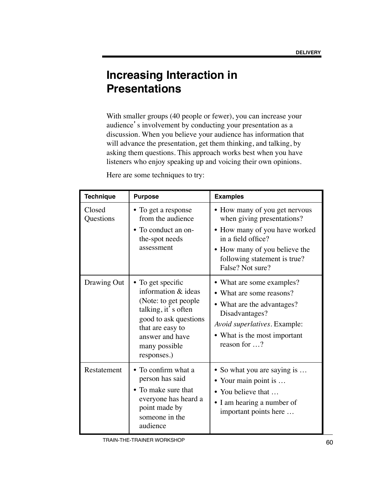## **Increasing Interaction in Presentations**

With smaller groups (40 people or fewer), you can increase your audience's involvement by conducting your presentation as a discussion. When you believe your audience has information that will advance the presentation, get them thinking, and talking, by asking them questions. This approach works best when you have listeners who enjoy speaking up and voicing their own opinions.

Here are some techniques to try:

| <b>Technique</b>    | <b>Purpose</b>                                                                                                                                                                           | <b>Examples</b>                                                                                                                                                                                                    |  |
|---------------------|------------------------------------------------------------------------------------------------------------------------------------------------------------------------------------------|--------------------------------------------------------------------------------------------------------------------------------------------------------------------------------------------------------------------|--|
| Closed<br>Questions | • To get a response<br>from the audience<br>• To conduct an on-<br>the-spot needs<br>assessment                                                                                          | • How many of you get nervous<br>when giving presentations?<br>• How many of you have worked<br>in a field office?<br>How many of you believe the<br>$\bullet$<br>following statement is true?<br>False? Not sure? |  |
| Drawing Out         | • To get specific<br>information & ideas<br>(Note: to get people)<br>talking, it's often<br>good to ask questions<br>that are easy to<br>answer and have<br>many possible<br>responses.) | • What are some examples?<br>• What are some reasons?<br>• What are the advantages?<br>Disadvantages?<br>Avoid superlatives. Example:<br>• What is the most important<br>reason for ?                              |  |
| Restatement         | • To confirm what a<br>person has said<br>• To make sure that<br>everyone has heard a<br>point made by<br>someone in the<br>audience                                                     | • So what you are saying is<br>• Your main point is<br>• You believe that<br>• I am hearing a number of<br>important points here                                                                                   |  |

TRAIN-THE-TRAINER WORKSHOP 60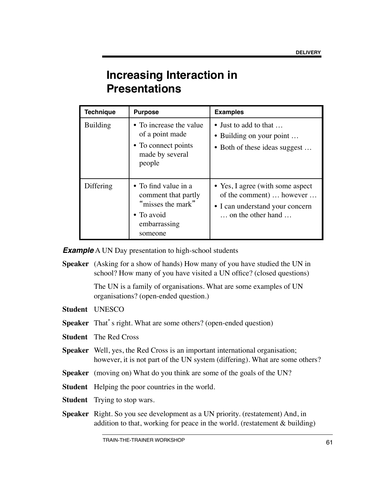## **Increasing Interaction in Presentations**

| <b>Technique</b> | <b>Purpose</b>                                                                                            | <b>Examples</b>                                                                                                                         |
|------------------|-----------------------------------------------------------------------------------------------------------|-----------------------------------------------------------------------------------------------------------------------------------------|
| <b>Building</b>  | • To increase the value<br>of a point made<br>• To connect points<br>made by several<br>people            | • Just to add to that $\dots$<br>• Building on your point<br>• Both of these ideas suggest                                              |
| Differing        | • To find value in a<br>comment that partly<br>"misses the mark"<br>• To avoid<br>embarrassing<br>someone | • Yes, I agree (with some aspect)<br>of the comment)  however<br>• I can understand your concern<br>$\ldots$ on the other hand $\ldots$ |

**Example** A UN Day presentation to high-school students

**Speaker** (Asking for a show of hands) How many of you have studied the UN in school? How many of you have visited a UN office? (closed questions)

> The UN is a family of organisations. What are some examples of UN organisations? (open-ended question.)

- **Student** UNESCO
- **Speaker** That's right. What are some others? (open-ended question)
- **Student** The Red Cross
- **Speaker** Well, yes, the Red Cross is an important international organisation; however, it is not part of the UN system (differing). What are some others?
- **Speaker** (moving on) What do you think are some of the goals of the UN?
- **Student** Helping the poor countries in the world.
- **Student** Trying to stop wars.
- **Speaker** Right. So you see development as a UN priority. (restatement) And, in addition to that, working for peace in the world. (restatement  $\&$  building)

TRAIN-THE-TRAINER WORKSHOP **EXAMPLE 12 TRAIN-THE-TRAINER** WORKSHOP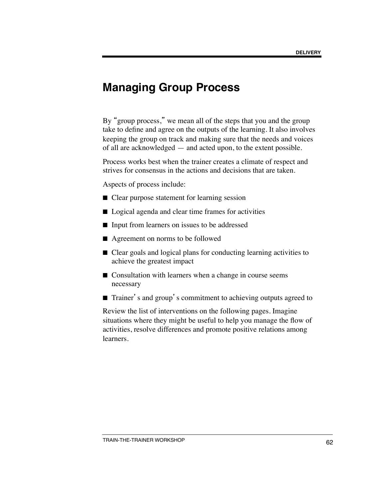### **Managing Group Process**

By "group process," we mean all of the steps that you and the group take to define and agree on the outputs of the learning. It also involves keeping the group on track and making sure that the needs and voices of all are acknowledged — and acted upon, to the extent possible.

Process works best when the trainer creates a climate of respect and strives for consensus in the actions and decisions that are taken.

Aspects of process include:

- Clear purpose statement for learning session
- Logical agenda and clear time frames for activities
- Input from learners on issues to be addressed
- Agreement on norms to be followed
- Clear goals and logical plans for conducting learning activities to achieve the greatest impact
- Consultation with learners when a change in course seems necessary
- Trainer's and group's commitment to achieving outputs agreed to

Review the list of interventions on the following pages. Imagine situations where they might be useful to help you manage the flow of activities, resolve differences and promote positive relations among learners.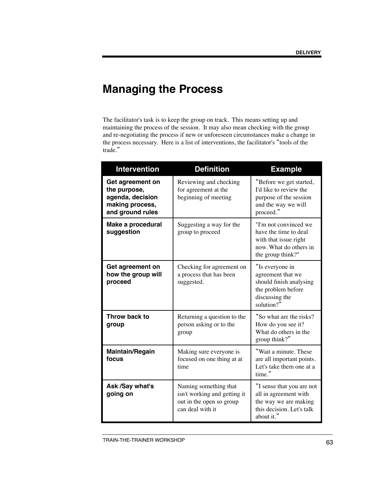# **Managing the Process**

The facilitator's task is to keep the group on track. This means setting up and maintaining the process of the session. It may also mean checking with the group and re-negotiating the process if new or unforeseen circumstances make a change in the process necessary. Here is a list of interventions, the facilitator's "tools of the trade."

| <b>Intervention</b>                                                                         | <b>Definition</b>                                                                                     | <b>Example</b>                                                                                                         |
|---------------------------------------------------------------------------------------------|-------------------------------------------------------------------------------------------------------|------------------------------------------------------------------------------------------------------------------------|
| Get agreement on<br>the purpose,<br>agenda, decision<br>making process,<br>and ground rules | Reviewing and checking<br>for agreement at the<br>beginning of meeting                                | "Before we get started,<br>I'd like to review the<br>purpose of the session<br>and the way we will<br>proceed."        |
| Make a procedural<br>suggestion                                                             | Suggesting a way for the<br>group to proceed                                                          | "I'm not convinced we<br>have the time to deal<br>with that issue right<br>now. What do others in<br>the group think?" |
| Get agreement on<br>how the group will<br>proceed                                           | Checking for agreement on<br>a process that has been<br>suggested.                                    | "Is everyone in<br>agreement that we<br>should finish analysing<br>the problem before<br>discussing the<br>solution?"  |
| Throw back to<br>group                                                                      | Returning a question to the<br>person asking or to the<br>group                                       | "So what are the risks?<br>How do you see it?<br>What do others in the<br>group think?"                                |
| Maintain/Regain<br>focus                                                                    | Making sure everyone is<br>focused on one thing at at<br>time                                         | "Wait a minute. These<br>are all important points.<br>Let's take them one at a<br>time."                               |
| Ask /Say what's<br>going on                                                                 | Naming something that<br>isn't working and getting it<br>out in the open so group<br>can deal with it | "I sense that you are not<br>all in agreement with<br>the way we are making<br>this decision. Let's talk<br>about it." |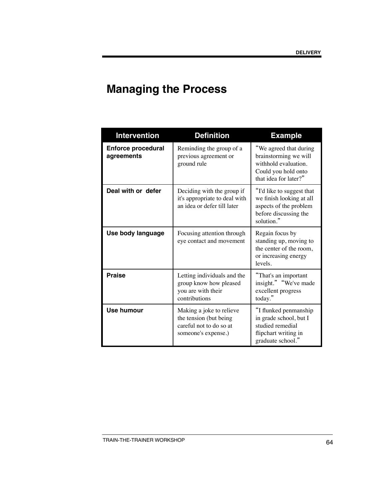# **Managing the Process**

| <b>Intervention</b>                     | <b>Definition</b>                                                                                    | <b>Example</b>                                                                                                          |
|-----------------------------------------|------------------------------------------------------------------------------------------------------|-------------------------------------------------------------------------------------------------------------------------|
| <b>Enforce procedural</b><br>agreements | Reminding the group of a<br>previous agreement or<br>ground rule                                     | "We agreed that during<br>brainstorming we will<br>withhold evaluation.<br>Could you hold onto<br>that idea for later?" |
| Deal with or defer                      | Deciding with the group if<br>it's appropriate to deal with<br>an idea or defer till later           | "I'd like to suggest that<br>we finish looking at all<br>aspects of the problem<br>before discussing the<br>solution."  |
| Use body language                       | Focusing attention through<br>eye contact and movement                                               | Regain focus by<br>standing up, moving to<br>the center of the room,<br>or increasing energy<br>levels.                 |
| <b>Praise</b>                           | Letting individuals and the<br>group know how pleased<br>you are with their<br>contributions         | "That's an important<br>insight." "We've made<br>excellent progress<br>today."                                          |
| Use humour                              | Making a joke to relieve<br>the tension (but being<br>careful not to do so at<br>someone's expense.) | "I flunked penmanship<br>in grade school, but I<br>studied remedial<br>flipchart writing in<br>graduate school."        |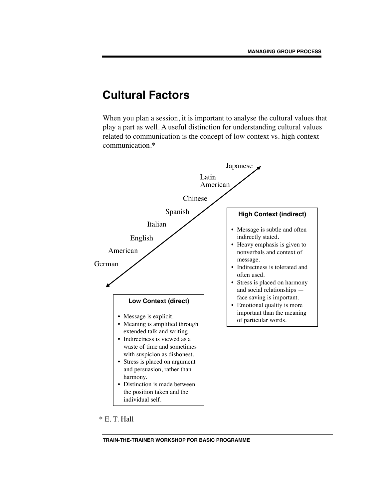### **Cultural Factors**

When you plan a session, it is important to analyse the cultural values that play a part as well. A useful distinction for understanding cultural values related to communication is the concept of low context vs. high context communication.\*



\* E. T. Hall

**TRAIN-THE-TRAINER WORKSHOP FOR BASIC PROGRAMME**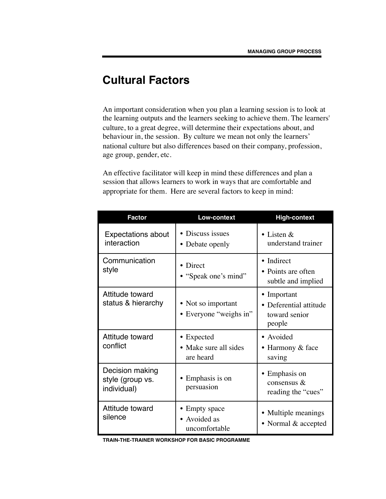### **Cultural Factors**

An important consideration when you plan a learning session is to look at the learning outputs and the learners seeking to achieve them. The learners' culture, to a great degree, will determine their expectations about, and behaviour in, the session. By culture we mean not only the learners' national culture but also differences based on their company, profession, age group, gender, etc.

An effective facilitator will keep in mind these differences and plan a session that allows learners to work in ways that are comfortable and appropriate for them. Here are several factors to keep in mind:

| <b>Factor</b>                                      | <b>Low-context</b>                                  | <b>High-context</b>                                              |
|----------------------------------------------------|-----------------------------------------------------|------------------------------------------------------------------|
| <b>Expectations about</b><br>interaction           | • Discuss issues<br>• Debate openly                 | • Listen $&$<br>understand trainer                               |
| Communication<br>style                             | Direct<br>• "Speak one's mind"                      | • Indirect<br>• Points are often<br>subtle and implied           |
| Attitude toward<br>status & hierarchy              | • Not so important<br>• Everyone "weighs in"        | • Important<br>• Deferential attitude<br>toward senior<br>people |
| Attitude toward<br>conflict                        | • Expected<br>• Make sure all sides<br>are heard    | • Avoided<br>• Harmony $&$ face<br>saving                        |
| Decision making<br>style (group vs.<br>individual) | Emphasis is on<br>persuasion                        | • Emphasis on<br>consensus $\&$<br>reading the "cues"            |
| Attitude toward<br>silence                         | <b>Empty</b> space<br>• Avoided as<br>uncomfortable | • Multiple meanings<br>• Normal & accepted                       |

**TRAIN-THE-TRAINER WORKSHOP FOR BASIC PROGRAMME**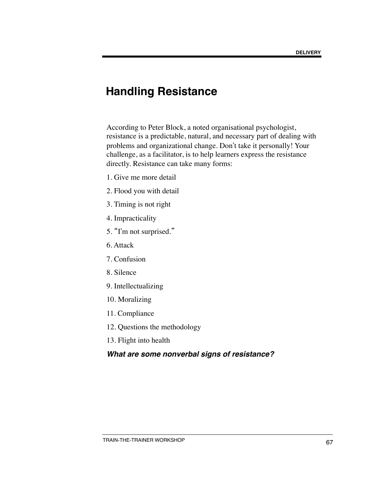### **Handling Resistance**

According to Peter Block, a noted organisational psychologist, resistance is a predictable, natural, and necessary part of dealing with problems and organizational change. Don't take it personally! Your challenge, as a facilitator, is to help learners express the resistance directly. Resistance can take many forms:

- 1. Give me more detail
- 2. Flood you with detail
- 3. Timing is not right
- 4. Impracticality
- 5. "I'm not surprised."
- 6. Attack
- 7. Confusion
- 8. Silence
- 9. Intellectualizing
- 10. Moralizing
- 11. Compliance
- 12. Questions the methodology
- 13. Flight into health

### *What are some nonverbal signs of resistance?*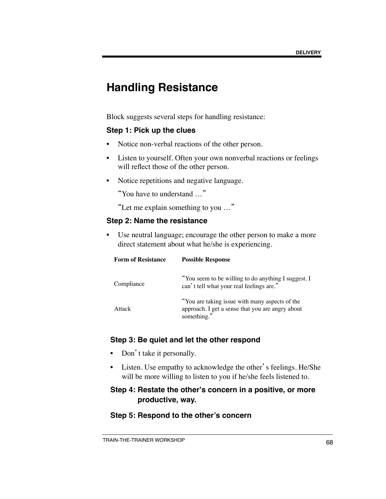### **Handling Resistance**

Block suggests several steps for handling resistance:

#### **Step 1: Pick up the clues**

- Notice non-verbal reactions of the other person.
- Listen to yourself. Often your own nonverbal reactions or feelings will reflect those of the other person.
- Notice repetitions and negative language.

"You have to understand …"

"Let me explain something to you …"

#### **Step 2: Name the resistance**

• Use neutral language; encourage the other person to make a more direct statement about what he/she is experiencing.

| <b>Form of Resistance</b> | <b>Possible Response</b>                                                                                          |
|---------------------------|-------------------------------------------------------------------------------------------------------------------|
| Compliance                | "You seem to be willing to do anything I suggest. I<br>can't tell what your real feelings are."                   |
| Attack                    | "You are taking issue with many aspects of the<br>approach. I get a sense that you are angry about<br>something." |

#### **Step 3: Be quiet and let the other respond**

- Don't take it personally.
- Listen. Use empathy to acknowledge the other's feelings. He/She will be more willing to listen to you if he/she feels listened to.

#### **Step 4: Restate the other's concern in a positive, or more productive, way.**

#### **Step 5: Respond to the other's concern**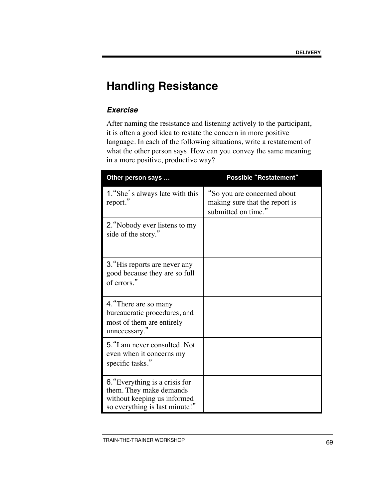## **Handling Resistance**

### *Exercise*

After naming the resistance and listening actively to the participant, it is often a good idea to restate the concern in more positive language. In each of the following situations, write a restatement of what the other person says. How can you convey the same meaning in a more positive, productive way?

| Other person says                                                                                                          | <b>Possible "Restatement"</b>                                                        |
|----------------------------------------------------------------------------------------------------------------------------|--------------------------------------------------------------------------------------|
| 1. "She's always late with this<br>report."                                                                                | "So you are concerned about<br>making sure that the report is<br>submitted on time." |
| 2. "Nobody ever listens to my<br>side of the story."                                                                       |                                                                                      |
| 3. "His reports are never any<br>good because they are so full<br>of errors."                                              |                                                                                      |
| 4. "There are so many<br>bureaucratic procedures, and<br>most of them are entirely<br>unnecessary."                        |                                                                                      |
| 5. "I am never consulted. Not<br>even when it concerns my<br>specific tasks."                                              |                                                                                      |
| 6. "Everything is a crisis for<br>them. They make demands<br>without keeping us informed<br>so everything is last minute!" |                                                                                      |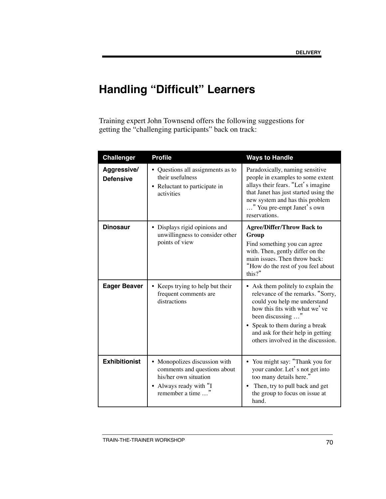# **Handling "Difficult" Learners**

Training expert John Townsend offers the following suggestions for getting the "challenging participants" back on track:

| <b>Challenger</b>               | <b>Profile</b>                                                                                                                        | <b>Ways to Handle</b>                                                                                                                                                                                                                                                    |
|---------------------------------|---------------------------------------------------------------------------------------------------------------------------------------|--------------------------------------------------------------------------------------------------------------------------------------------------------------------------------------------------------------------------------------------------------------------------|
| Aggressive/<br><b>Defensive</b> | • Questions all assignments as to<br>their usefulness<br>• Reluctant to participate in<br>activities                                  | Paradoxically, naming sensitive<br>people in examples to some extent<br>allays their fears. "Let's imagine<br>that Janet has just started using the<br>new system and has this problem<br>" You pre-empt Janet's own<br>reservations.                                    |
| <b>Dinosaur</b>                 | • Displays rigid opinions and<br>unwillingness to consider other<br>points of view                                                    | <b>Agree/Differ/Throw Back to</b><br>Group<br>Find something you can agree<br>with. Then, gently differ on the<br>main issues. Then throw back:<br>"How do the rest of you feel about<br>this?"                                                                          |
| <b>Eager Beaver</b>             | • Keeps trying to help but their<br>frequent comments are<br>distractions                                                             | • Ask them politely to explain the<br>relevance of the remarks. "Sorry,<br>could you help me understand<br>how this fits with what we've<br>been discussing "<br>Speak to them during a break<br>and ask for their help in getting<br>others involved in the discussion. |
| <b>Exhibitionist</b>            | • Monopolizes discussion with<br>comments and questions about<br>his/her own situation<br>• Always ready with "I<br>remember a time " | • You might say: "Thank you for<br>your candor. Let's not get into<br>too many details here."<br>Then, try to pull back and get<br>the group to focus on issue at<br>hand.                                                                                               |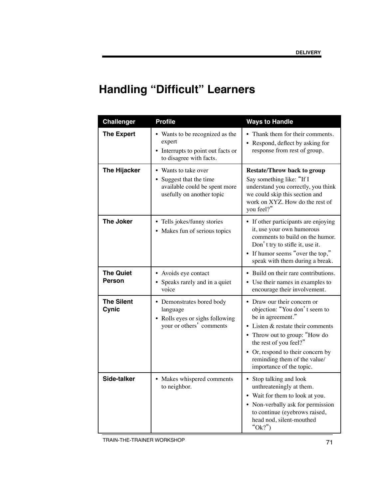# **Handling "Difficult" Learners**

| <b>Challenger</b>                 | <b>Profile</b>                                                                                              | <b>Ways to Handle</b>                                                                                                                                                                                                                                                            |
|-----------------------------------|-------------------------------------------------------------------------------------------------------------|----------------------------------------------------------------------------------------------------------------------------------------------------------------------------------------------------------------------------------------------------------------------------------|
| <b>The Expert</b>                 | • Wants to be recognized as the<br>expert<br>• Interrupts to point out facts or<br>to disagree with facts.  | • Thank them for their comments.<br>• Respond, deflect by asking for<br>response from rest of group.                                                                                                                                                                             |
| <b>The Hijacker</b>               | • Wants to take over<br>Suggest that the time<br>available could be spent more<br>usefully on another topic | <b>Restate/Throw back to group</b><br>Say something like: "If I<br>understand you correctly, you think<br>we could skip this section and<br>work on XYZ. How do the rest of<br>you feel?"                                                                                        |
| <b>The Joker</b>                  | • Tells jokes/funny stories<br>• Makes fun of serious topics                                                | • If other participants are enjoying<br>it, use your own humorous<br>comments to build on the humor.<br>Don't try to stifle it, use it.<br>• If humor seems "over the top,"<br>speak with them during a break.                                                                   |
| <b>The Quiet</b><br><b>Person</b> | • Avoids eye contact<br>• Speaks rarely and in a quiet<br>voice                                             | • Build on their rare contributions.<br>• Use their names in examples to<br>encourage their involvement.                                                                                                                                                                         |
| <b>The Silent</b><br>Cynic        | • Demonstrates bored body<br>language<br>• Rolls eyes or sighs following<br>your or others' comments        | Draw our their concern or<br>objection: "You don't seem to<br>be in agreement."<br>• Listen & restate their comments<br>• Throw out to group: "How do<br>the rest of you feel?"<br>• Or, respond to their concern by<br>reminding them of the value/<br>importance of the topic. |
| Side-talker                       | • Makes whispered comments<br>to neighbor.                                                                  | • Stop talking and look<br>unthreateningly at them.<br>• Wait for them to look at you.<br>• Non-verbally ask for permission<br>to continue (eyebrows raised,<br>head nod, silent-mouthed<br>"Ok?")                                                                               |

TRAIN-THE-TRAINER WORKSHOP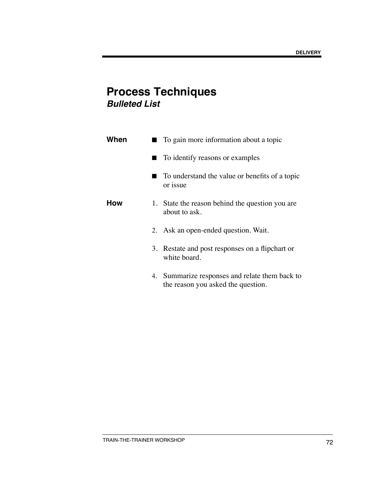### **Process Techniques** *Bulleted List*

| When |   | To gain more information about a topic                                               |
|------|---|--------------------------------------------------------------------------------------|
|      | ٠ | To identify reasons or examples                                                      |
|      |   | To understand the value or benefits of a topic<br>or issue                           |
| How  |   | 1. State the reason behind the question you are<br>about to ask.                     |
|      |   | 2. Ask an open-ended question. Wait.                                                 |
|      |   | 3. Restate and post responses on a flipchart or<br>white board.                      |
|      |   | 4. Summarize responses and relate them back to<br>the reason you asked the question. |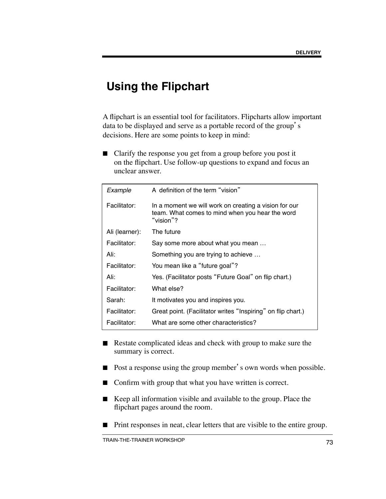### **Using the Flipchart**

A flipchart is an essential tool for facilitators. Flipcharts allow important data to be displayed and serve as a portable record of the group's decisions. Here are some points to keep in mind:

■ Clarify the response you get from a group before you post it on the flipchart. Use follow-up questions to expand and focus an unclear answer.

| Example        | A definition of the term "vision"                                                                                     |  |
|----------------|-----------------------------------------------------------------------------------------------------------------------|--|
| Facilitator:   | In a moment we will work on creating a vision for our<br>team. What comes to mind when you hear the word<br>"vision"? |  |
| Ali (learner): | The future                                                                                                            |  |
| Facilitator:   | Say some more about what you mean                                                                                     |  |
| Ali:           | Something you are trying to achieve                                                                                   |  |
| Facilitator:   | You mean like a "future goal"?                                                                                        |  |
| Ali:           | Yes. (Facilitator posts "Future Goal" on flip chart.)                                                                 |  |
| Facilitator:   | What else?                                                                                                            |  |
| Sarah:         | It motivates you and inspires you.                                                                                    |  |
| Facilitator:   | Great point. (Facilitator writes "Inspiring" on flip chart.)                                                          |  |
| Facilitator:   | What are some other characteristics?                                                                                  |  |

- Restate complicated ideas and check with group to make sure the summary is correct.
- Post a response using the group member's own words when possible.
- Confirm with group that what you have written is correct.
- Keep all information visible and available to the group. Place the flipchart pages around the room.
- Print responses in neat, clear letters that are visible to the entire group.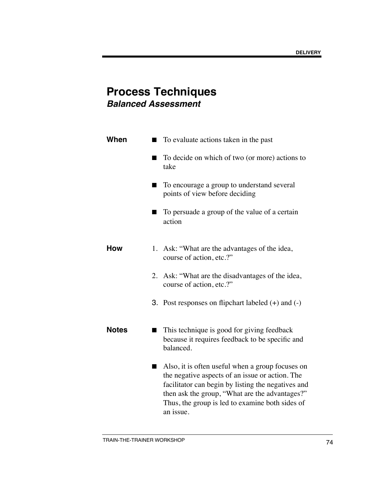### **Process Techniques** *Balanced Assessment*

| When         |    | To evaluate actions taken in the past                                                                                                                                                                                                                                       |
|--------------|----|-----------------------------------------------------------------------------------------------------------------------------------------------------------------------------------------------------------------------------------------------------------------------------|
|              |    | To decide on which of two (or more) actions to<br>take                                                                                                                                                                                                                      |
|              |    | To encourage a group to understand several<br>points of view before deciding                                                                                                                                                                                                |
|              |    | To persuade a group of the value of a certain<br>action                                                                                                                                                                                                                     |
| How          | 1. | Ask: "What are the advantages of the idea,<br>course of action, etc.?"                                                                                                                                                                                                      |
|              | 2. | Ask: "What are the disadvantages of the idea,<br>course of action, etc.?"                                                                                                                                                                                                   |
|              |    | <b>3.</b> Post responses on flipchart labeled $(+)$ and $(-)$                                                                                                                                                                                                               |
| <b>Notes</b> |    | This technique is good for giving feedback<br>because it requires feedback to be specific and<br>balanced.                                                                                                                                                                  |
|              |    | Also, it is often useful when a group focuses on<br>the negative aspects of an issue or action. The<br>facilitator can begin by listing the negatives and<br>then ask the group, "What are the advantages?"<br>Thus, the group is led to examine both sides of<br>an issue. |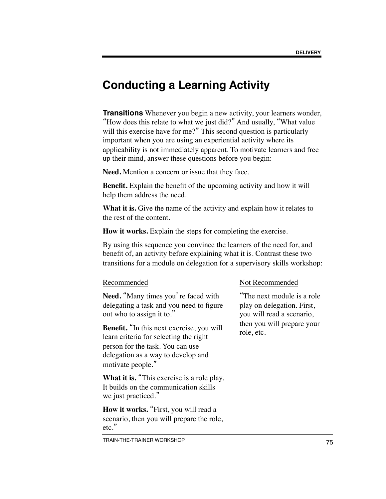### **Conducting a Learning Activity**

**Transitions** Whenever you begin a new activity, your learners wonder, "How does this relate to what we just did?" And usually, "What value will this exercise have for me?" This second question is particularly important when you are using an experiential activity where its applicability is not immediately apparent. To motivate learners and free up their mind, answer these questions before you begin:

**Need.** Mention a concern or issue that they face.

**Benefit.** Explain the benefit of the upcoming activity and how it will help them address the need.

What it is. Give the name of the activity and explain how it relates to the rest of the content.

**How it works.** Explain the steps for completing the exercise.

By using this sequence you convince the learners of the need for, and benefit of, an activity before explaining what it is. Contrast these two transitions for a module on delegation for a supervisory skills workshop:

#### Recommended

Need. "Many times you're faced with delegating a task and you need to figure out who to assign it to."

**Benefit.** "In this next exercise, you will learn criteria for selecting the right person for the task. You can use delegation as a way to develop and motivate people."

**What it is.** "This exercise is a role play. It builds on the communication skills we just practiced."

**How it works.** "First, you will read a scenario, then you will prepare the role, etc."

#### Not Recommended

"The next module is a role play on delegation. First, you will read a scenario, then you will prepare your role, etc.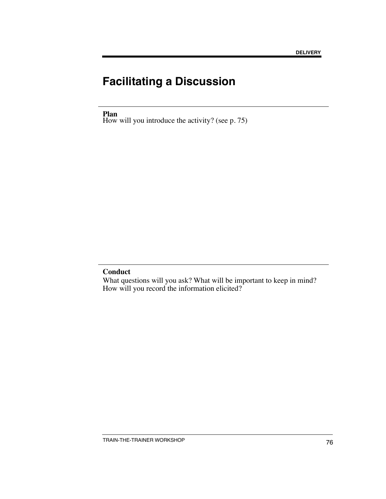# **Facilitating a Discussion**

**Plan**

How will you introduce the activity? (see p. 75)

#### **Conduct**

What questions will you ask? What will be important to keep in mind? How will you record the information elicited?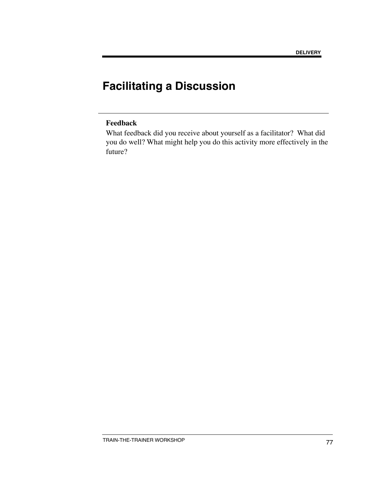# **Facilitating a Discussion**

#### **Feedback**

What feedback did you receive about yourself as a facilitator? What did you do well? What might help you do this activity more effectively in the future?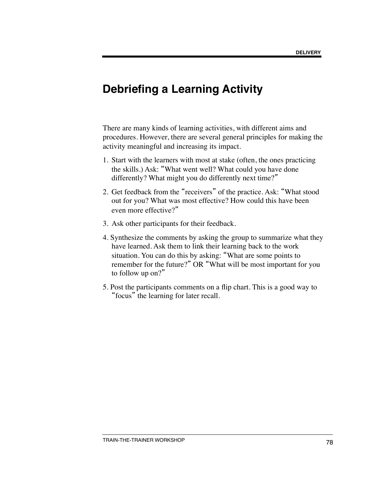#### **Debriefing a Learning Activity**

There are many kinds of learning activities, with different aims and procedures. However, there are several general principles for making the activity meaningful and increasing its impact.

- 1. Start with the learners with most at stake (often, the ones practicing the skills.) Ask: "What went well? What could you have done differently? What might you do differently next time?"
- 2. Get feedback from the "receivers" of the practice. Ask: "What stood out for you? What was most effective? How could this have been even more effective?"
- 3. Ask other participants for their feedback.
- 4. Synthesize the comments by asking the group to summarize what they have learned. Ask them to link their learning back to the work situation. You can do this by asking: "What are some points to remember for the future?" OR "What will be most important for you to follow up on?"
- 5. Post the participants comments on a flip chart. This is a good way to "focus" the learning for later recall.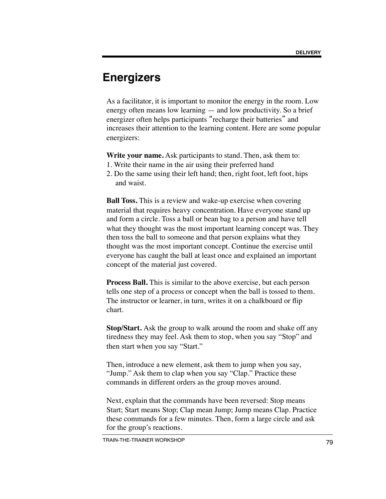## **Energizers**

As a facilitator, it is important to monitor the energy in the room. Low energy often means low learning — and low productivity. So a brief energizer often helps participants "recharge their batteries" and increases their attention to the learning content. Here are some popular energizers:

**Write your name.** Ask participants to stand. Then, ask them to:

- 1. Write their name in the air using their preferred hand
- 2. Do the same using their left hand; then, right foot, left foot, hips and waist.

**Ball Toss.** This is a review and wake-up exercise when covering material that requires heavy concentration. Have everyone stand up and form a circle. Toss a ball or bean bag to a person and have tell what they thought was the most important learning concept was. They then toss the ball to someone and that person explains what they thought was the most important concept. Continue the exercise until everyone has caught the ball at least once and explained an important concept of the material just covered.

**Process Ball.** This is similar to the above exercise, but each person tells one step of a process or concept when the ball is tossed to them. The instructor or learner, in turn, writes it on a chalkboard or flip chart.

**Stop/Start.** Ask the group to walk around the room and shake off any tiredness they may feel. Ask them to stop, when you say "Stop" and then start when you say "Start."

Then, introduce a new element, ask them to jump when you say, "Jump." Ask them to clap when you say "Clap." Practice these commands in different orders as the group moves around.

Next, explain that the commands have been reversed: Stop means Start; Start means Stop; Clap mean Jump; Jump means Clap. Practice these commands for a few minutes. Then, form a large circle and ask for the group's reactions.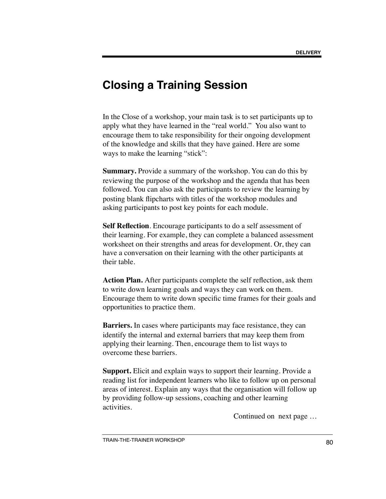### **Closing a Training Session**

In the Close of a workshop, your main task is to set participants up to apply what they have learned in the "real world." You also want to encourage them to take responsibility for their ongoing development of the knowledge and skills that they have gained. Here are some ways to make the learning "stick":

**Summary.** Provide a summary of the workshop. You can do this by reviewing the purpose of the workshop and the agenda that has been followed. You can also ask the participants to review the learning by posting blank flipcharts with titles of the workshop modules and asking participants to post key points for each module.

**Self Reflection**. Encourage participants to do a self assessment of their learning. For example, they can complete a balanced assessment worksheet on their strengths and areas for development. Or, they can have a conversation on their learning with the other participants at their table.

**Action Plan.** After participants complete the self reflection, ask them to write down learning goals and ways they can work on them. Encourage them to write down specific time frames for their goals and opportunities to practice them.

**Barriers.** In cases where participants may face resistance, they can identify the internal and external barriers that may keep them from applying their learning. Then, encourage them to list ways to overcome these barriers.

**Support.** Elicit and explain ways to support their learning. Provide a reading list for independent learners who like to follow up on personal areas of interest. Explain any ways that the organisation will follow up by providing follow-up sessions, coaching and other learning activities.

Continued on next page …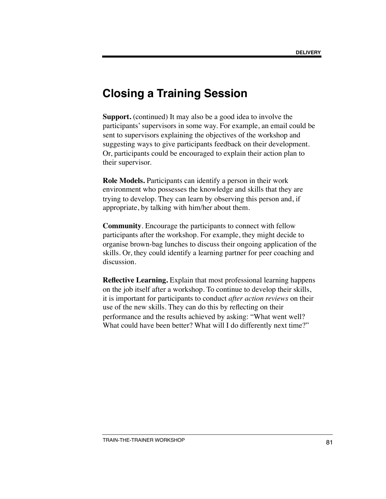#### **Closing a Training Session**

**Support.** (continued) It may also be a good idea to involve the participants' supervisors in some way. For example, an email could be sent to supervisors explaining the objectives of the workshop and suggesting ways to give participants feedback on their development. Or, participants could be encouraged to explain their action plan to their supervisor.

**Role Models.** Participants can identify a person in their work environment who possesses the knowledge and skills that they are trying to develop. They can learn by observing this person and, if appropriate, by talking with him/her about them.

**Community**. Encourage the participants to connect with fellow participants after the workshop. For example, they might decide to organise brown-bag lunches to discuss their ongoing application of the skills. Or, they could identify a learning partner for peer coaching and discussion.

**Reflective Learning.** Explain that most professional learning happens on the job itself after a workshop. To continue to develop their skills, it is important for participants to conduct *after action reviews* on their use of the new skills. They can do this by reflecting on their performance and the results achieved by asking: "What went well? What could have been better? What will I do differently next time?"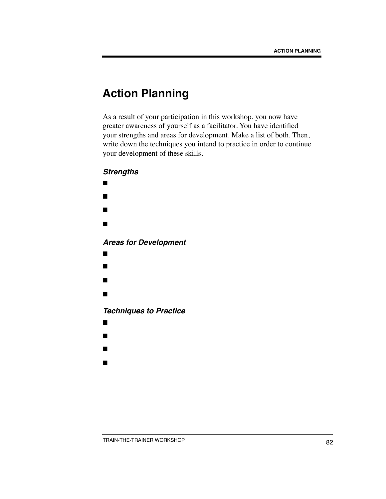## **Action Planning**

As a result of your participation in this workshop, you now have greater awareness of yourself as a facilitator. You have identified your strengths and areas for development. Make a list of both. Then, write down the techniques you intend to practice in order to continue your development of these skills.

#### *Strengths*

- ■
- ■
- ■
- ■
- 

*Areas for Development*

- ■
- ■
- 
- ■
- ■

*Techniques to Practice*

- ■
- ■
- ■
- 
- ■